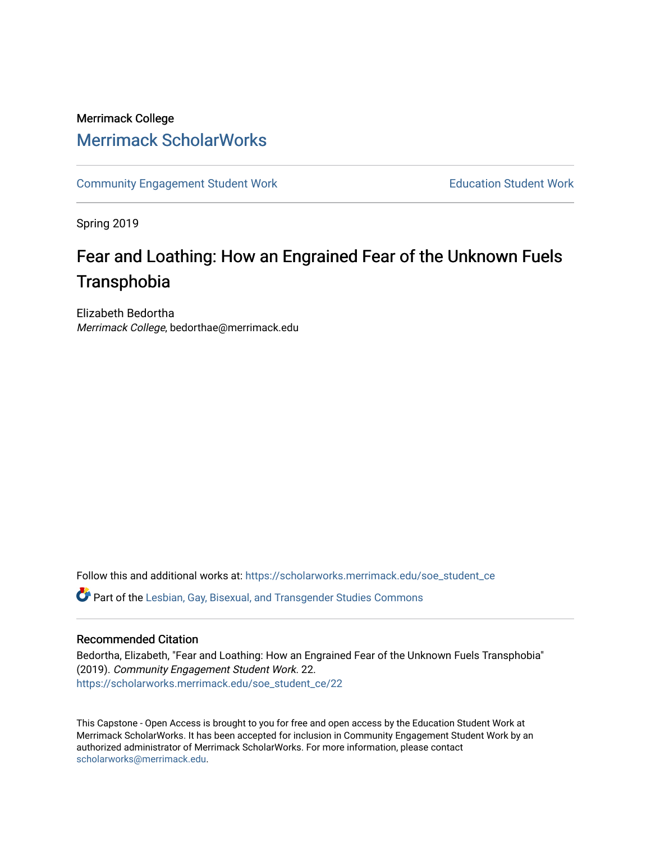# Merrimack College [Merrimack ScholarWorks](https://scholarworks.merrimack.edu/)

[Community Engagement Student Work](https://scholarworks.merrimack.edu/soe_student_ce) **Education Student Work** Education Student Work

Spring 2019

# Fear and Loathing: How an Engrained Fear of the Unknown Fuels **Transphobia**

Elizabeth Bedortha Merrimack College, bedorthae@merrimack.edu

Follow this and additional works at: [https://scholarworks.merrimack.edu/soe\\_student\\_ce](https://scholarworks.merrimack.edu/soe_student_ce?utm_source=scholarworks.merrimack.edu%2Fsoe_student_ce%2F22&utm_medium=PDF&utm_campaign=PDFCoverPages) 

Part of the [Lesbian, Gay, Bisexual, and Transgender Studies Commons](http://network.bepress.com/hgg/discipline/560?utm_source=scholarworks.merrimack.edu%2Fsoe_student_ce%2F22&utm_medium=PDF&utm_campaign=PDFCoverPages)

#### Recommended Citation

Bedortha, Elizabeth, "Fear and Loathing: How an Engrained Fear of the Unknown Fuels Transphobia" (2019). Community Engagement Student Work. 22. [https://scholarworks.merrimack.edu/soe\\_student\\_ce/22](https://scholarworks.merrimack.edu/soe_student_ce/22?utm_source=scholarworks.merrimack.edu%2Fsoe_student_ce%2F22&utm_medium=PDF&utm_campaign=PDFCoverPages)

This Capstone - Open Access is brought to you for free and open access by the Education Student Work at Merrimack ScholarWorks. It has been accepted for inclusion in Community Engagement Student Work by an authorized administrator of Merrimack ScholarWorks. For more information, please contact [scholarworks@merrimack.edu](mailto:scholarworks@merrimack.edu).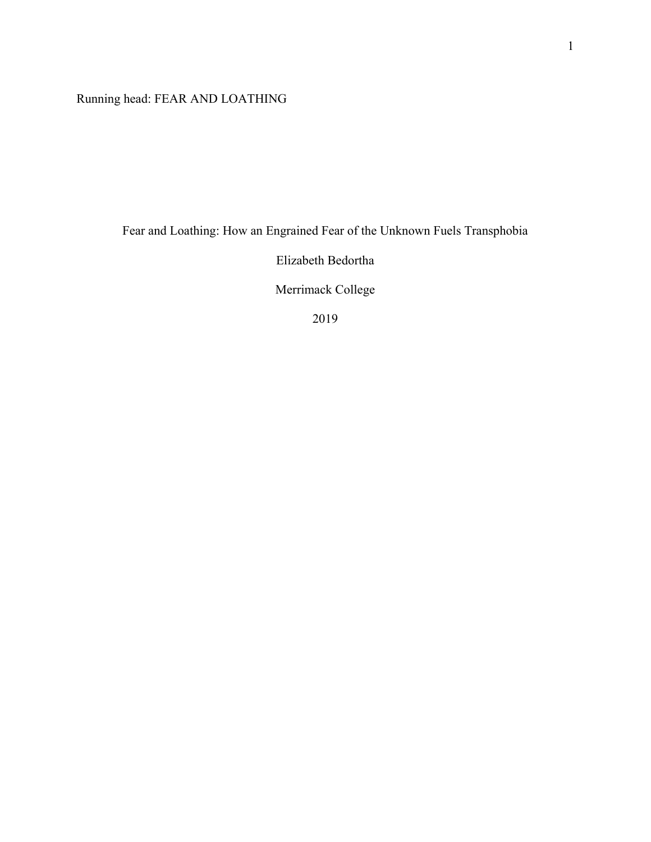Running head: FEAR AND LOATHING

Fear and Loathing: How an Engrained Fear of the Unknown Fuels Transphobia

Elizabeth Bedortha

Merrimack College

2019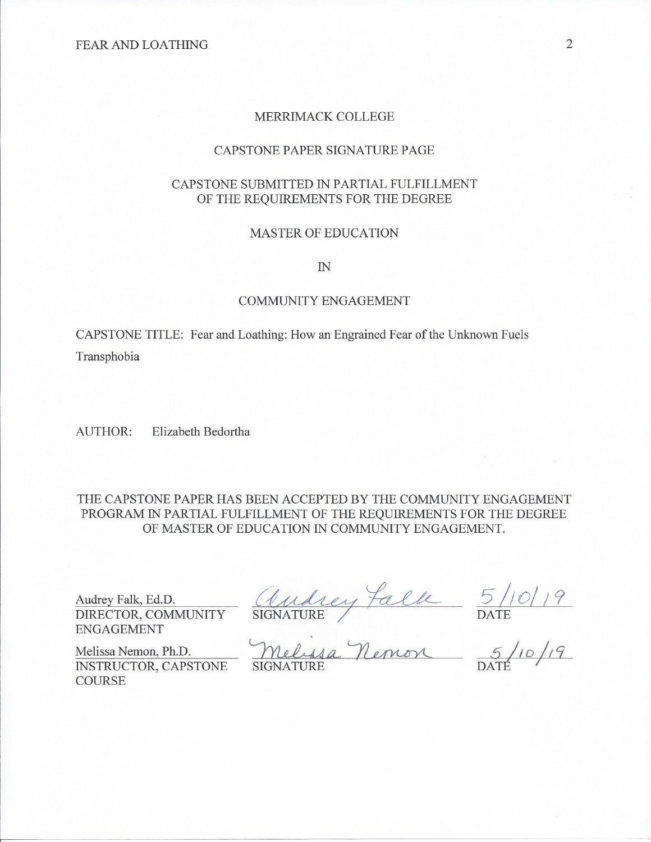#### MERRIMACK COLLEGE

#### CAPSTONE PAPER SIGNATURE PAGE

#### CAPSTONE SUBMITTED IN PARTIAL FULFILLMENT OF THE REQUIREMENTS FOR THE DEGREE

#### **MASTER OF EDUCATION**

 $I\!N$ 

#### **COMMUNITY ENGAGEMENT**

CAPSTONE TITLE: Fear and Loathing: How an Engrained Fear of the Unknown Fuels Transphobia

**AUTHOR:** Elizabeth Bedortha

THE CAPSTONE PAPER HAS BEEN ACCEPTED BY THE COMMUNITY ENGAGEMENT PROGRAM IN PARTIAL FULFILLMENT OF THE REQUIREMENTS FOR THE DEGREE OF MASTER OF EDUCATION IN COMMUNITY ENGAGEMENT.

Audrey Falk, Ed.D. DIRECTOR, COMMUNITY **ENGAGEMENT** 

INSTRUCTOR, CAPSTONE

Melissa Nemon, Ph.D.

**COURSE** 

Audrey falk 5/10/19<br>SIGNATURE PARE DATE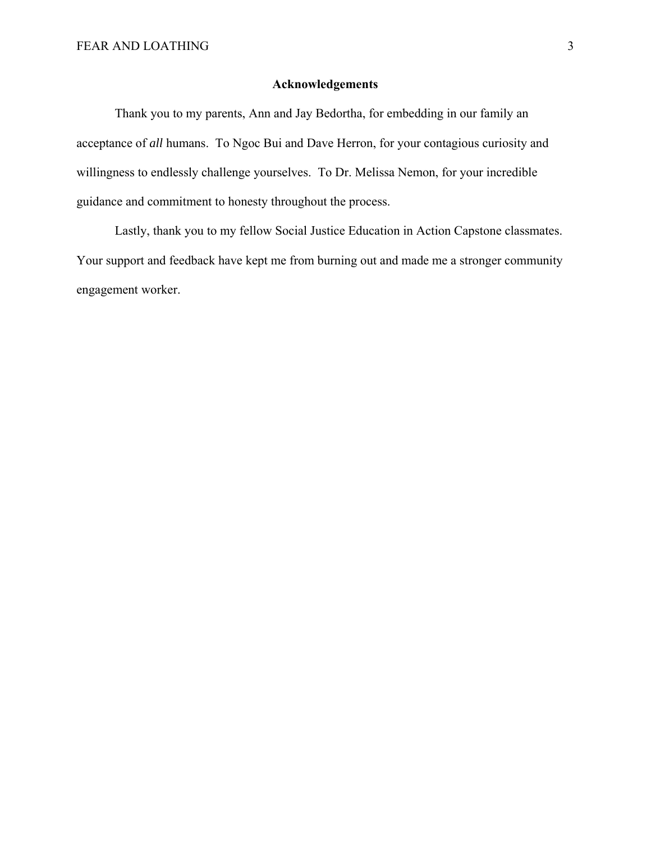#### **Acknowledgements**

Thank you to my parents, Ann and Jay Bedortha, for embedding in our family an acceptance of *all* humans. To Ngoc Bui and Dave Herron, for your contagious curiosity and willingness to endlessly challenge yourselves. To Dr. Melissa Nemon, for your incredible guidance and commitment to honesty throughout the process.

Lastly, thank you to my fellow Social Justice Education in Action Capstone classmates. Your support and feedback have kept me from burning out and made me a stronger community engagement worker.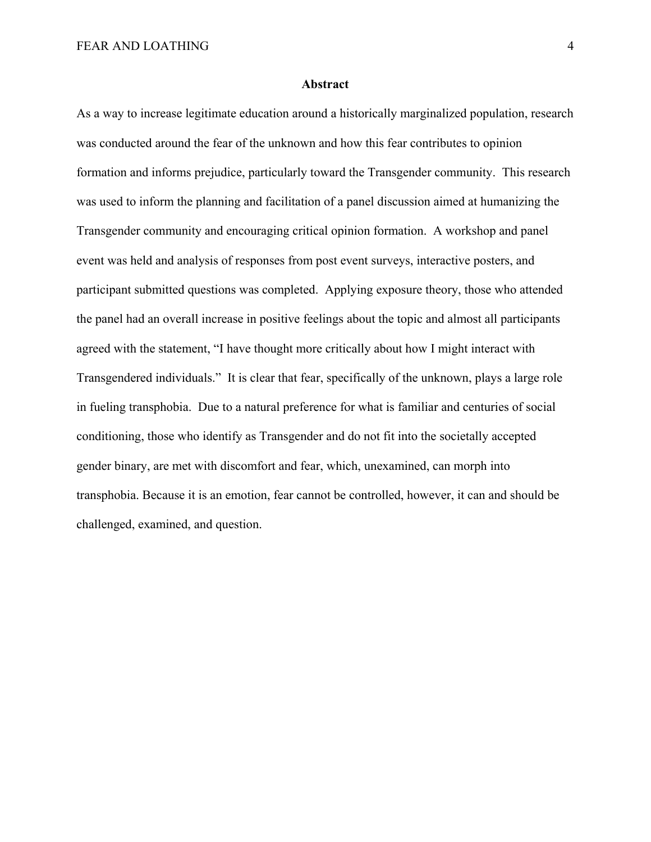#### **Abstract**

As a way to increase legitimate education around a historically marginalized population, research was conducted around the fear of the unknown and how this fear contributes to opinion formation and informs prejudice, particularly toward the Transgender community. This research was used to inform the planning and facilitation of a panel discussion aimed at humanizing the Transgender community and encouraging critical opinion formation. A workshop and panel event was held and analysis of responses from post event surveys, interactive posters, and participant submitted questions was completed. Applying exposure theory, those who attended the panel had an overall increase in positive feelings about the topic and almost all participants agreed with the statement, "I have thought more critically about how I might interact with Transgendered individuals." It is clear that fear, specifically of the unknown, plays a large role in fueling transphobia. Due to a natural preference for what is familiar and centuries of social conditioning, those who identify as Transgender and do not fit into the societally accepted gender binary, are met with discomfort and fear, which, unexamined, can morph into transphobia. Because it is an emotion, fear cannot be controlled, however, it can and should be challenged, examined, and question.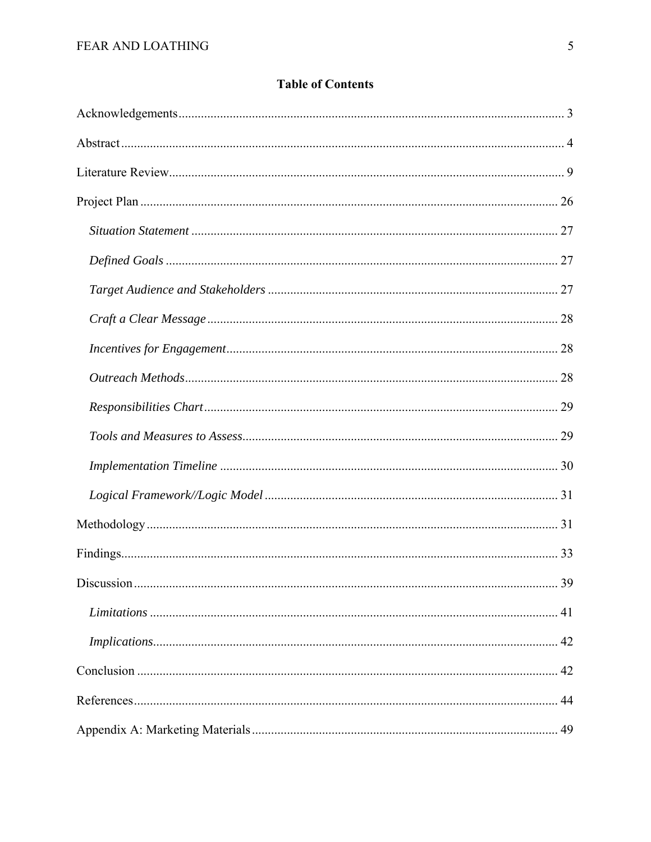# **Table of Contents**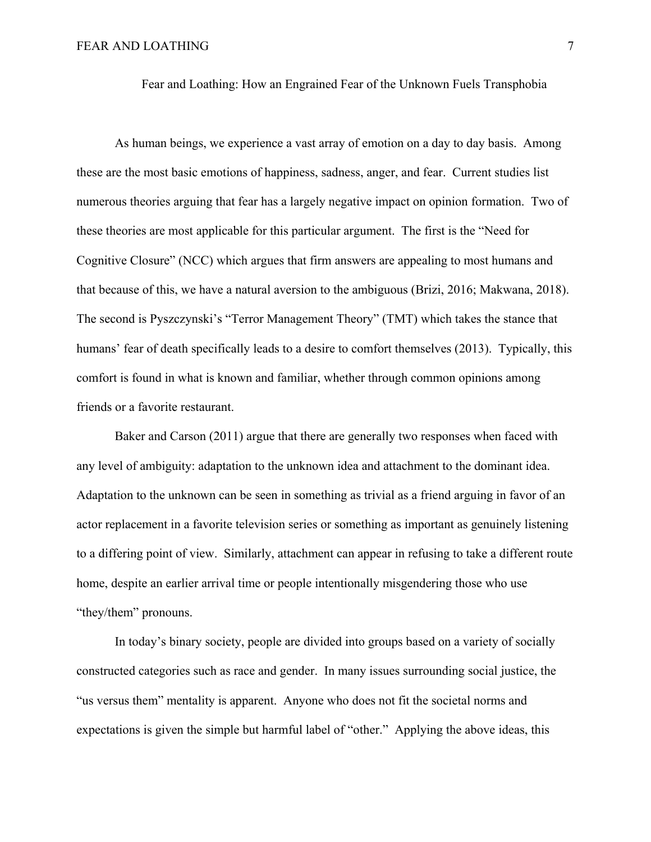Fear and Loathing: How an Engrained Fear of the Unknown Fuels Transphobia

As human beings, we experience a vast array of emotion on a day to day basis. Among these are the most basic emotions of happiness, sadness, anger, and fear. Current studies list numerous theories arguing that fear has a largely negative impact on opinion formation. Two of these theories are most applicable for this particular argument. The first is the "Need for Cognitive Closure" (NCC) which argues that firm answers are appealing to most humans and that because of this, we have a natural aversion to the ambiguous (Brizi, 2016; Makwana, 2018). The second is Pyszczynski's "Terror Management Theory" (TMT) which takes the stance that humans' fear of death specifically leads to a desire to comfort themselves (2013). Typically, this comfort is found in what is known and familiar, whether through common opinions among friends or a favorite restaurant.

 Baker and Carson (2011) argue that there are generally two responses when faced with any level of ambiguity: adaptation to the unknown idea and attachment to the dominant idea. Adaptation to the unknown can be seen in something as trivial as a friend arguing in favor of an actor replacement in a favorite television series or something as important as genuinely listening to a differing point of view. Similarly, attachment can appear in refusing to take a different route home, despite an earlier arrival time or people intentionally misgendering those who use "they/them" pronouns.

In today's binary society, people are divided into groups based on a variety of socially constructed categories such as race and gender. In many issues surrounding social justice, the "us versus them" mentality is apparent. Anyone who does not fit the societal norms and expectations is given the simple but harmful label of "other." Applying the above ideas, this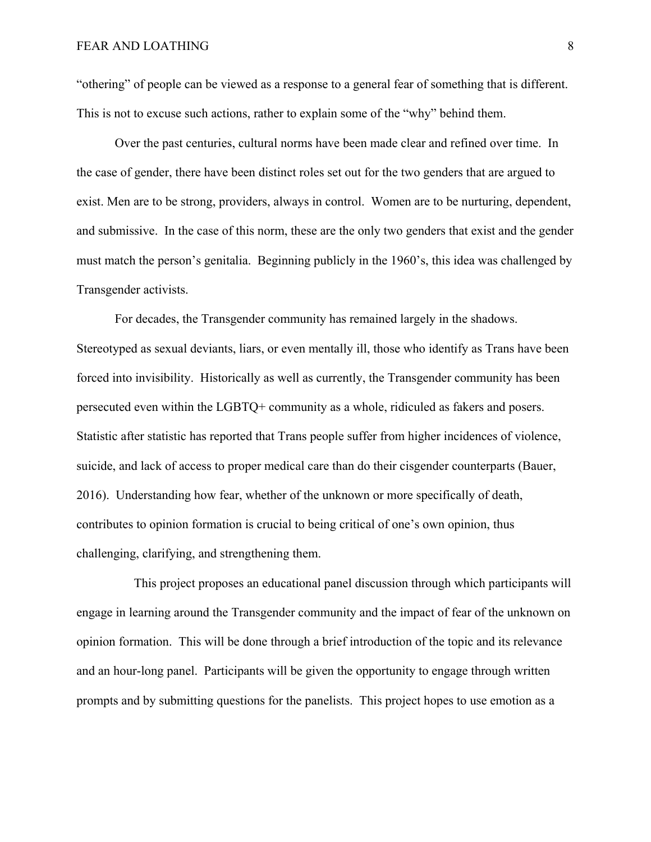"othering" of people can be viewed as a response to a general fear of something that is different. This is not to excuse such actions, rather to explain some of the "why" behind them.

 Over the past centuries, cultural norms have been made clear and refined over time. In the case of gender, there have been distinct roles set out for the two genders that are argued to exist. Men are to be strong, providers, always in control. Women are to be nurturing, dependent, and submissive. In the case of this norm, these are the only two genders that exist and the gender must match the person's genitalia. Beginning publicly in the 1960's, this idea was challenged by Transgender activists.

For decades, the Transgender community has remained largely in the shadows. Stereotyped as sexual deviants, liars, or even mentally ill, those who identify as Trans have been forced into invisibility. Historically as well as currently, the Transgender community has been persecuted even within the LGBTQ+ community as a whole, ridiculed as fakers and posers. Statistic after statistic has reported that Trans people suffer from higher incidences of violence, suicide, and lack of access to proper medical care than do their cisgender counterparts (Bauer, 2016). Understanding how fear, whether of the unknown or more specifically of death, contributes to opinion formation is crucial to being critical of one's own opinion, thus challenging, clarifying, and strengthening them.

 This project proposes an educational panel discussion through which participants will engage in learning around the Transgender community and the impact of fear of the unknown on opinion formation. This will be done through a brief introduction of the topic and its relevance and an hour-long panel. Participants will be given the opportunity to engage through written prompts and by submitting questions for the panelists. This project hopes to use emotion as a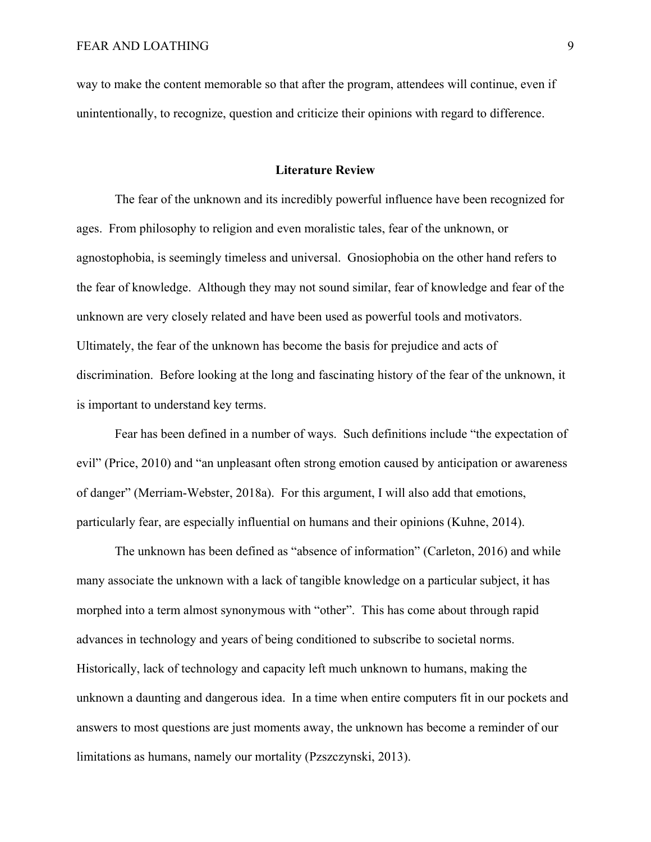way to make the content memorable so that after the program, attendees will continue, even if unintentionally, to recognize, question and criticize their opinions with regard to difference.

#### **Literature Review**

The fear of the unknown and its incredibly powerful influence have been recognized for ages. From philosophy to religion and even moralistic tales, fear of the unknown, or agnostophobia, is seemingly timeless and universal. Gnosiophobia on the other hand refers to the fear of knowledge. Although they may not sound similar, fear of knowledge and fear of the unknown are very closely related and have been used as powerful tools and motivators. Ultimately, the fear of the unknown has become the basis for prejudice and acts of discrimination. Before looking at the long and fascinating history of the fear of the unknown, it is important to understand key terms.

Fear has been defined in a number of ways. Such definitions include "the expectation of evil" (Price, 2010) and "an unpleasant often strong emotion caused by anticipation or awareness of danger" (Merriam-Webster, 2018a). For this argument, I will also add that emotions, particularly fear, are especially influential on humans and their opinions (Kuhne, 2014).

The unknown has been defined as "absence of information" (Carleton, 2016) and while many associate the unknown with a lack of tangible knowledge on a particular subject, it has morphed into a term almost synonymous with "other". This has come about through rapid advances in technology and years of being conditioned to subscribe to societal norms. Historically, lack of technology and capacity left much unknown to humans, making the unknown a daunting and dangerous idea. In a time when entire computers fit in our pockets and answers to most questions are just moments away, the unknown has become a reminder of our limitations as humans, namely our mortality (Pzszczynski, 2013).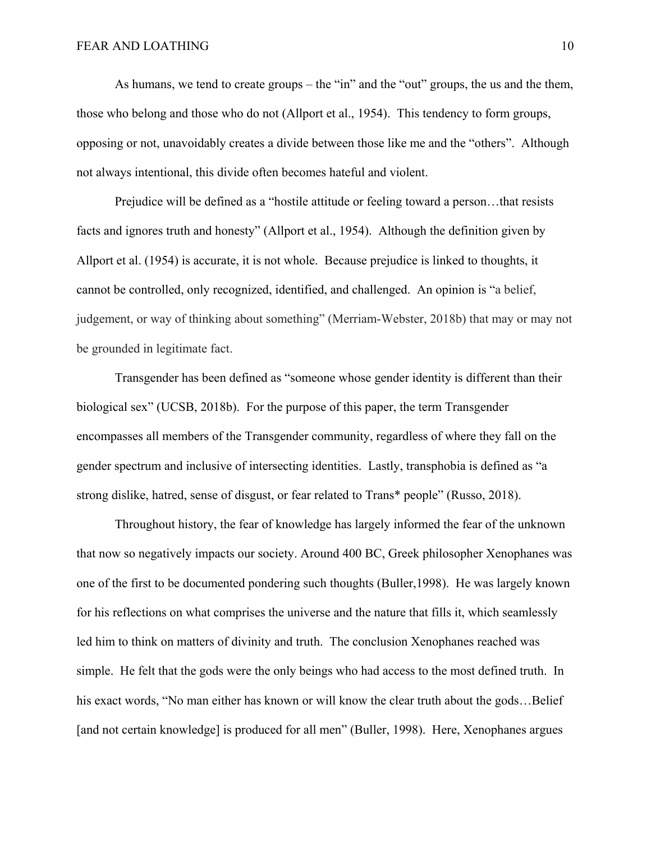As humans, we tend to create groups – the "in" and the "out" groups, the us and the them, those who belong and those who do not (Allport et al., 1954). This tendency to form groups, opposing or not, unavoidably creates a divide between those like me and the "others". Although not always intentional, this divide often becomes hateful and violent.

Prejudice will be defined as a "hostile attitude or feeling toward a person…that resists facts and ignores truth and honesty" (Allport et al., 1954). Although the definition given by Allport et al. (1954) is accurate, it is not whole. Because prejudice is linked to thoughts, it cannot be controlled, only recognized, identified, and challenged. An opinion is "a belief, judgement, or way of thinking about something" (Merriam-Webster, 2018b) that may or may not be grounded in legitimate fact.

Transgender has been defined as "someone whose gender identity is different than their biological sex" (UCSB, 2018b). For the purpose of this paper, the term Transgender encompasses all members of the Transgender community, regardless of where they fall on the gender spectrum and inclusive of intersecting identities. Lastly, transphobia is defined as "a strong dislike, hatred, sense of disgust, or fear related to Trans\* people" (Russo, 2018).

Throughout history, the fear of knowledge has largely informed the fear of the unknown that now so negatively impacts our society. Around 400 BC, Greek philosopher Xenophanes was one of the first to be documented pondering such thoughts (Buller,1998). He was largely known for his reflections on what comprises the universe and the nature that fills it, which seamlessly led him to think on matters of divinity and truth. The conclusion Xenophanes reached was simple. He felt that the gods were the only beings who had access to the most defined truth. In his exact words, "No man either has known or will know the clear truth about the gods...Belief [and not certain knowledge] is produced for all men" (Buller, 1998). Here, Xenophanes argues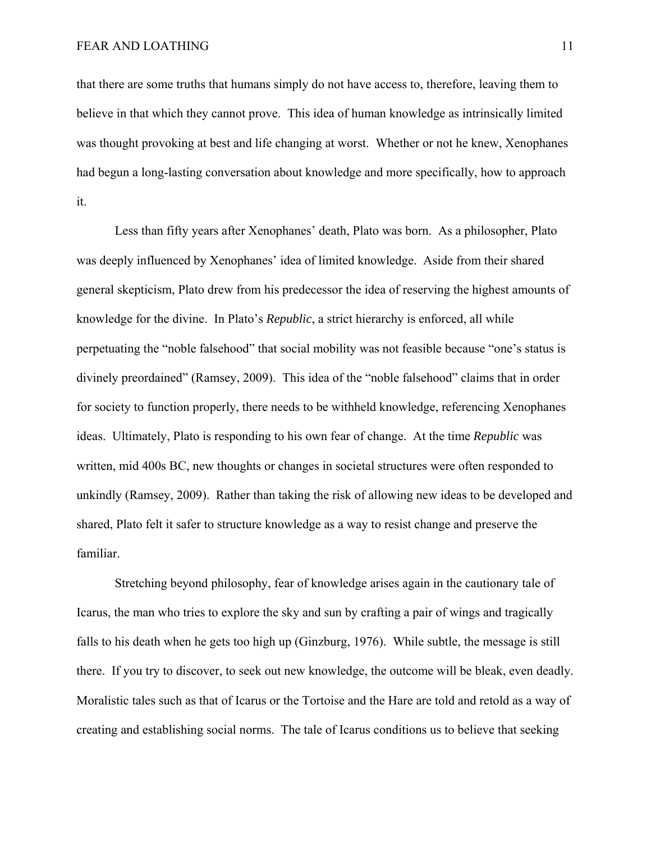that there are some truths that humans simply do not have access to, therefore, leaving them to believe in that which they cannot prove. This idea of human knowledge as intrinsically limited was thought provoking at best and life changing at worst. Whether or not he knew, Xenophanes had begun a long-lasting conversation about knowledge and more specifically, how to approach it.

 Less than fifty years after Xenophanes' death, Plato was born. As a philosopher, Plato was deeply influenced by Xenophanes' idea of limited knowledge. Aside from their shared general skepticism, Plato drew from his predecessor the idea of reserving the highest amounts of knowledge for the divine. In Plato's *Republic*, a strict hierarchy is enforced, all while perpetuating the "noble falsehood" that social mobility was not feasible because "one's status is divinely preordained" (Ramsey, 2009). This idea of the "noble falsehood" claims that in order for society to function properly, there needs to be withheld knowledge, referencing Xenophanes ideas. Ultimately, Plato is responding to his own fear of change. At the time *Republic* was written, mid 400s BC, new thoughts or changes in societal structures were often responded to unkindly (Ramsey, 2009). Rather than taking the risk of allowing new ideas to be developed and shared, Plato felt it safer to structure knowledge as a way to resist change and preserve the familiar.

 Stretching beyond philosophy, fear of knowledge arises again in the cautionary tale of Icarus, the man who tries to explore the sky and sun by crafting a pair of wings and tragically falls to his death when he gets too high up (Ginzburg, 1976). While subtle, the message is still there. If you try to discover, to seek out new knowledge, the outcome will be bleak, even deadly. Moralistic tales such as that of Icarus or the Tortoise and the Hare are told and retold as a way of creating and establishing social norms. The tale of Icarus conditions us to believe that seeking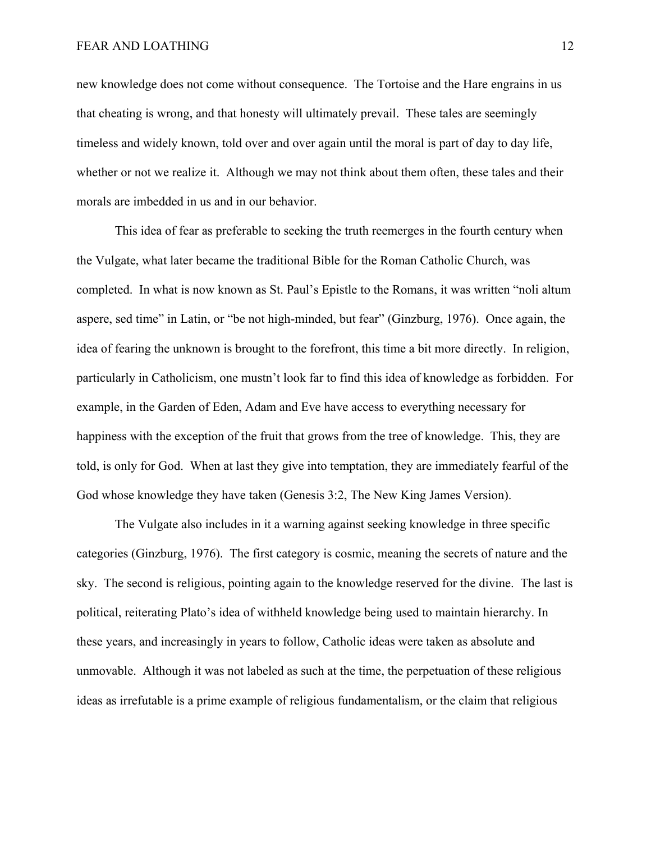new knowledge does not come without consequence. The Tortoise and the Hare engrains in us that cheating is wrong, and that honesty will ultimately prevail. These tales are seemingly timeless and widely known, told over and over again until the moral is part of day to day life, whether or not we realize it. Although we may not think about them often, these tales and their morals are imbedded in us and in our behavior.

 This idea of fear as preferable to seeking the truth reemerges in the fourth century when the Vulgate, what later became the traditional Bible for the Roman Catholic Church, was completed. In what is now known as St. Paul's Epistle to the Romans, it was written "noli altum aspere, sed time" in Latin, or "be not high-minded, but fear" (Ginzburg, 1976). Once again, the idea of fearing the unknown is brought to the forefront, this time a bit more directly. In religion, particularly in Catholicism, one mustn't look far to find this idea of knowledge as forbidden. For example, in the Garden of Eden, Adam and Eve have access to everything necessary for happiness with the exception of the fruit that grows from the tree of knowledge. This, they are told, is only for God. When at last they give into temptation, they are immediately fearful of the God whose knowledge they have taken (Genesis 3:2, The New King James Version).

 The Vulgate also includes in it a warning against seeking knowledge in three specific categories (Ginzburg, 1976). The first category is cosmic, meaning the secrets of nature and the sky. The second is religious, pointing again to the knowledge reserved for the divine. The last is political, reiterating Plato's idea of withheld knowledge being used to maintain hierarchy. In these years, and increasingly in years to follow, Catholic ideas were taken as absolute and unmovable.Although it was not labeled as such at the time, the perpetuation of these religious ideas as irrefutable is a prime example of religious fundamentalism, or the claim that religious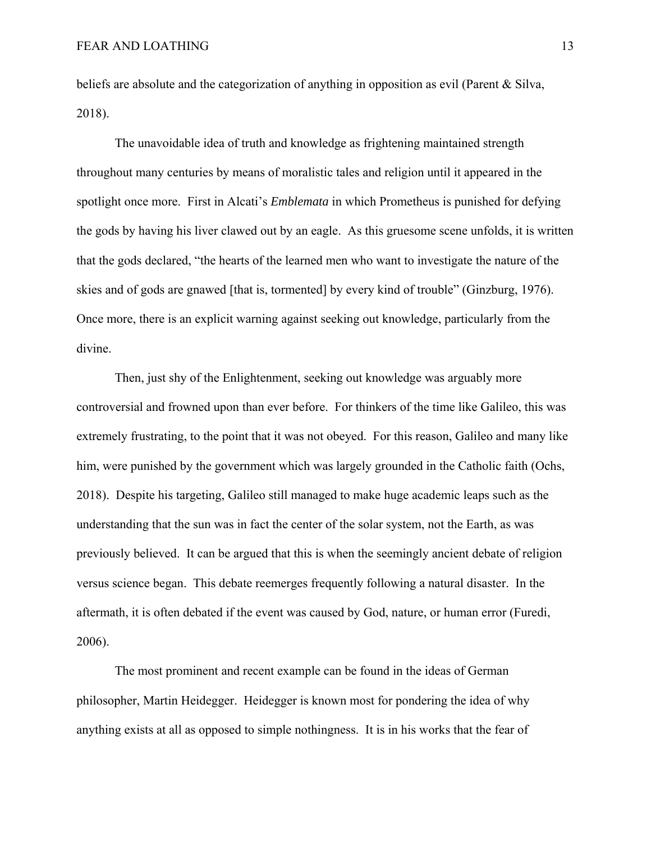beliefs are absolute and the categorization of anything in opposition as evil (Parent & Silva, 2018).

 The unavoidable idea of truth and knowledge as frightening maintained strength throughout many centuries by means of moralistic tales and religion until it appeared in the spotlight once more. First in Alcati's *Emblemata* in which Prometheus is punished for defying the gods by having his liver clawed out by an eagle. As this gruesome scene unfolds, it is written that the gods declared, "the hearts of the learned men who want to investigate the nature of the skies and of gods are gnawed [that is, tormented] by every kind of trouble" (Ginzburg, 1976). Once more, there is an explicit warning against seeking out knowledge, particularly from the divine.

Then, just shy of the Enlightenment, seeking out knowledge was arguably more controversial and frowned upon than ever before. For thinkers of the time like Galileo, this was extremely frustrating, to the point that it was not obeyed. For this reason, Galileo and many like him, were punished by the government which was largely grounded in the Catholic faith (Ochs, 2018). Despite his targeting, Galileo still managed to make huge academic leaps such as the understanding that the sun was in fact the center of the solar system, not the Earth, as was previously believed. It can be argued that this is when the seemingly ancient debate of religion versus science began. This debate reemerges frequently following a natural disaster. In the aftermath, it is often debated if the event was caused by God, nature, or human error (Furedi, 2006).

The most prominent and recent example can be found in the ideas of German philosopher, Martin Heidegger. Heidegger is known most for pondering the idea of why anything exists at all as opposed to simple nothingness. It is in his works that the fear of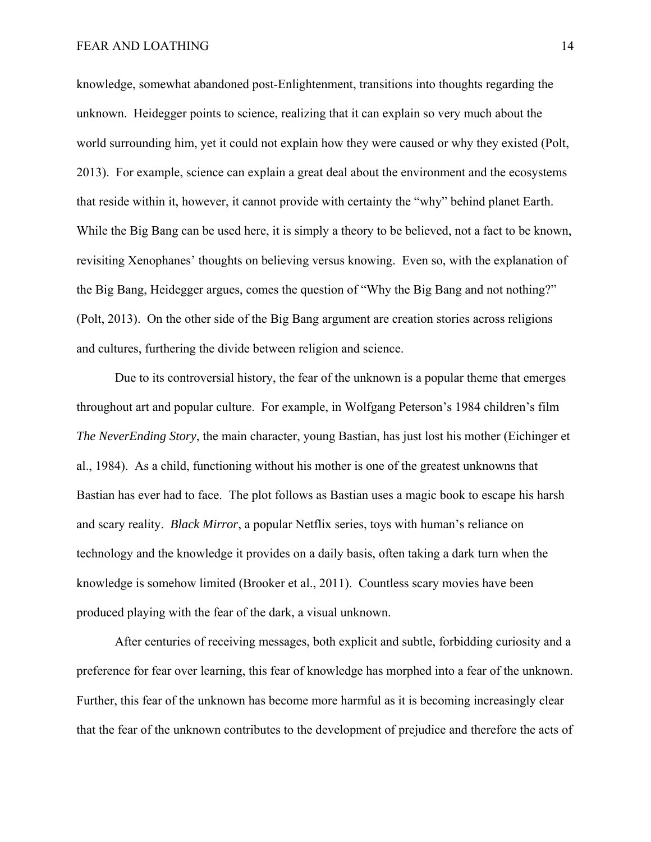knowledge, somewhat abandoned post-Enlightenment, transitions into thoughts regarding the unknown. Heidegger points to science, realizing that it can explain so very much about the world surrounding him, yet it could not explain how they were caused or why they existed (Polt, 2013). For example, science can explain a great deal about the environment and the ecosystems that reside within it, however, it cannot provide with certainty the "why" behind planet Earth. While the Big Bang can be used here, it is simply a theory to be believed, not a fact to be known, revisiting Xenophanes' thoughts on believing versus knowing. Even so, with the explanation of the Big Bang, Heidegger argues, comes the question of "Why the Big Bang and not nothing?" (Polt, 2013). On the other side of the Big Bang argument are creation stories across religions and cultures, furthering the divide between religion and science.

Due to its controversial history, the fear of the unknown is a popular theme that emerges throughout art and popular culture. For example, in Wolfgang Peterson's 1984 children's film *The NeverEnding Story*, the main character, young Bastian, has just lost his mother (Eichinger et al., 1984). As a child, functioning without his mother is one of the greatest unknowns that Bastian has ever had to face. The plot follows as Bastian uses a magic book to escape his harsh and scary reality. *Black Mirror*, a popular Netflix series, toys with human's reliance on technology and the knowledge it provides on a daily basis, often taking a dark turn when the knowledge is somehow limited (Brooker et al., 2011). Countless scary movies have been produced playing with the fear of the dark, a visual unknown.

After centuries of receiving messages, both explicit and subtle, forbidding curiosity and a preference for fear over learning, this fear of knowledge has morphed into a fear of the unknown. Further, this fear of the unknown has become more harmful as it is becoming increasingly clear that the fear of the unknown contributes to the development of prejudice and therefore the acts of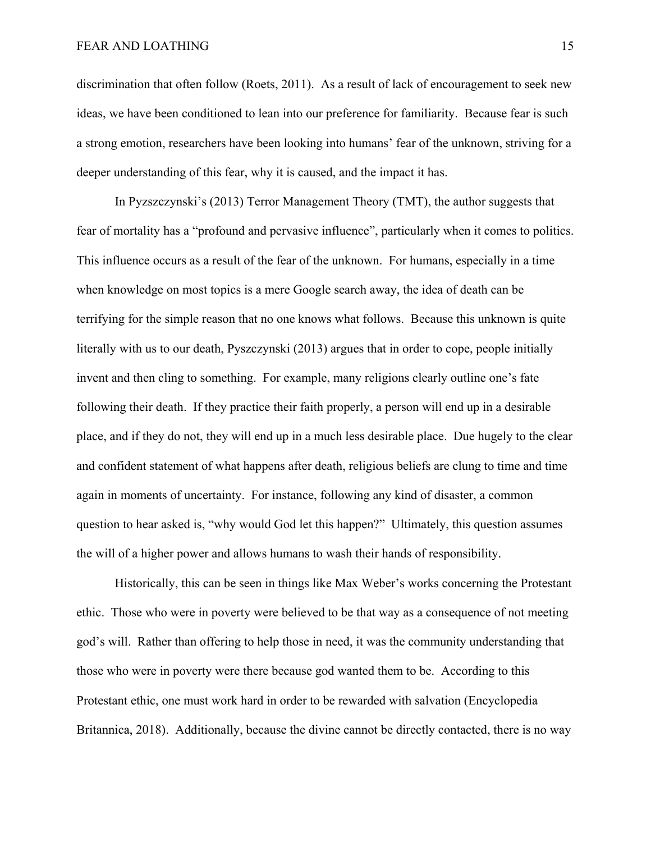discrimination that often follow (Roets, 2011). As a result of lack of encouragement to seek new ideas, we have been conditioned to lean into our preference for familiarity. Because fear is such a strong emotion, researchers have been looking into humans' fear of the unknown, striving for a deeper understanding of this fear, why it is caused, and the impact it has.

In Pyzszczynski's (2013) Terror Management Theory (TMT), the author suggests that fear of mortality has a "profound and pervasive influence", particularly when it comes to politics. This influence occurs as a result of the fear of the unknown. For humans, especially in a time when knowledge on most topics is a mere Google search away, the idea of death can be terrifying for the simple reason that no one knows what follows. Because this unknown is quite literally with us to our death, Pyszczynski (2013) argues that in order to cope, people initially invent and then cling to something. For example, many religions clearly outline one's fate following their death. If they practice their faith properly, a person will end up in a desirable place, and if they do not, they will end up in a much less desirable place. Due hugely to the clear and confident statement of what happens after death, religious beliefs are clung to time and time again in moments of uncertainty. For instance, following any kind of disaster, a common question to hear asked is, "why would God let this happen?" Ultimately, this question assumes the will of a higher power and allows humans to wash their hands of responsibility.

Historically, this can be seen in things like Max Weber's works concerning the Protestant ethic. Those who were in poverty were believed to be that way as a consequence of not meeting god's will. Rather than offering to help those in need, it was the community understanding that those who were in poverty were there because god wanted them to be. According to this Protestant ethic, one must work hard in order to be rewarded with salvation (Encyclopedia Britannica, 2018). Additionally, because the divine cannot be directly contacted, there is no way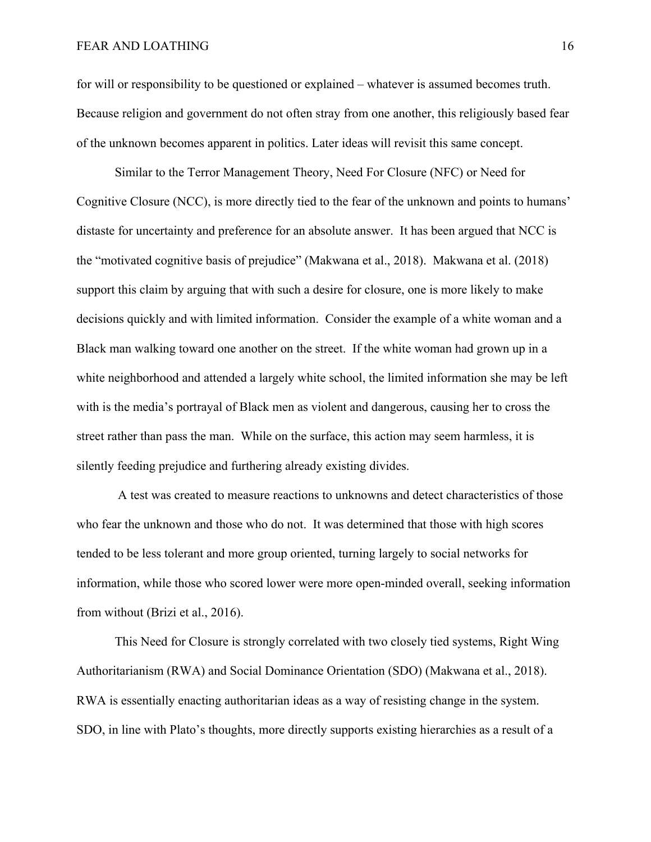for will or responsibility to be questioned or explained – whatever is assumed becomes truth. Because religion and government do not often stray from one another, this religiously based fear of the unknown becomes apparent in politics. Later ideas will revisit this same concept.

Similar to the Terror Management Theory, Need For Closure (NFC) or Need for Cognitive Closure (NCC), is more directly tied to the fear of the unknown and points to humans' distaste for uncertainty and preference for an absolute answer. It has been argued that NCC is the "motivated cognitive basis of prejudice" (Makwana et al., 2018). Makwana et al. (2018) support this claim by arguing that with such a desire for closure, one is more likely to make decisions quickly and with limited information. Consider the example of a white woman and a Black man walking toward one another on the street. If the white woman had grown up in a white neighborhood and attended a largely white school, the limited information she may be left with is the media's portrayal of Black men as violent and dangerous, causing her to cross the street rather than pass the man. While on the surface, this action may seem harmless, it is silently feeding prejudice and furthering already existing divides.

 A test was created to measure reactions to unknowns and detect characteristics of those who fear the unknown and those who do not. It was determined that those with high scores tended to be less tolerant and more group oriented, turning largely to social networks for information, while those who scored lower were more open-minded overall, seeking information from without (Brizi et al., 2016).

This Need for Closure is strongly correlated with two closely tied systems, Right Wing Authoritarianism (RWA) and Social Dominance Orientation (SDO) (Makwana et al., 2018). RWA is essentially enacting authoritarian ideas as a way of resisting change in the system. SDO, in line with Plato's thoughts, more directly supports existing hierarchies as a result of a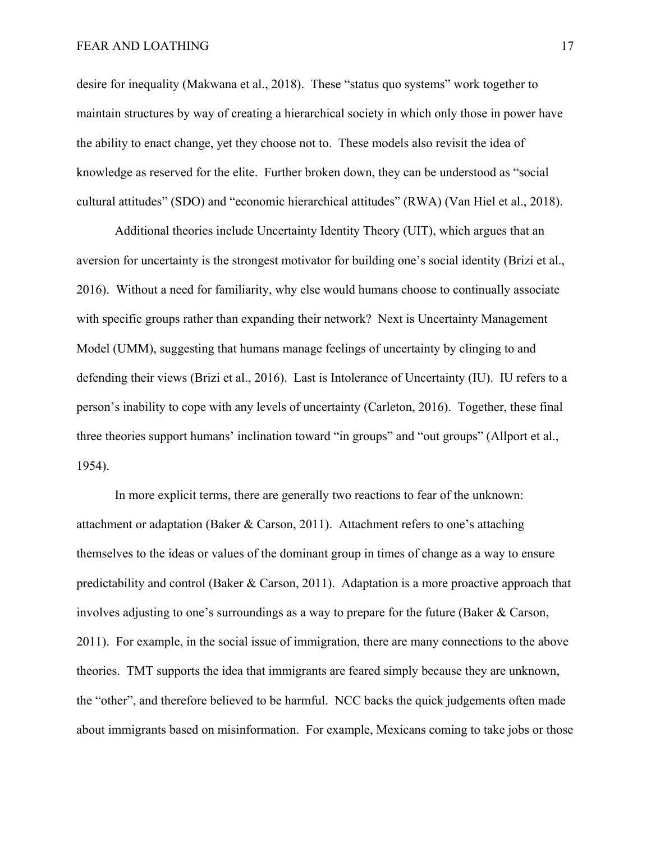desire for inequality (Makwana et al., 2018). These "status quo systems" work together to maintain structures by way of creating a hierarchical society in which only those in power have the ability to enact change, yet they choose not to. These models also revisit the idea of knowledge as reserved for the elite. Further broken down, they can be understood as "social cultural attitudes" (SDO) and "economic hierarchical attitudes" (RWA) (Van Hiel et al., 2018).

Additional theories include Uncertainty Identity Theory (UIT), which argues that an aversion for uncertainty is the strongest motivator for building one's social identity (Brizi et al., 2016). Without a need for familiarity, why else would humans choose to continually associate with specific groups rather than expanding their network? Next is Uncertainty Management Model (UMM), suggesting that humans manage feelings of uncertainty by clinging to and defending their views (Brizi et al., 2016). Last is Intolerance of Uncertainty (IU). IU refers to a person's inability to cope with any levels of uncertainty (Carleton, 2016). Together, these final three theories support humans' inclination toward "in groups" and "out groups" (Allport et al., 1954).

In more explicit terms, there are generally two reactions to fear of the unknown: attachment or adaptation (Baker & Carson, 2011). Attachment refers to one's attaching themselves to the ideas or values of the dominant group in times of change as a way to ensure predictability and control (Baker & Carson, 2011). Adaptation is a more proactive approach that involves adjusting to one's surroundings as a way to prepare for the future (Baker & Carson, 2011). For example, in the social issue of immigration, there are many connections to the above theories. TMT supports the idea that immigrants are feared simply because they are unknown, the "other", and therefore believed to be harmful. NCC backs the quick judgements often made about immigrants based on misinformation. For example, Mexicans coming to take jobs or those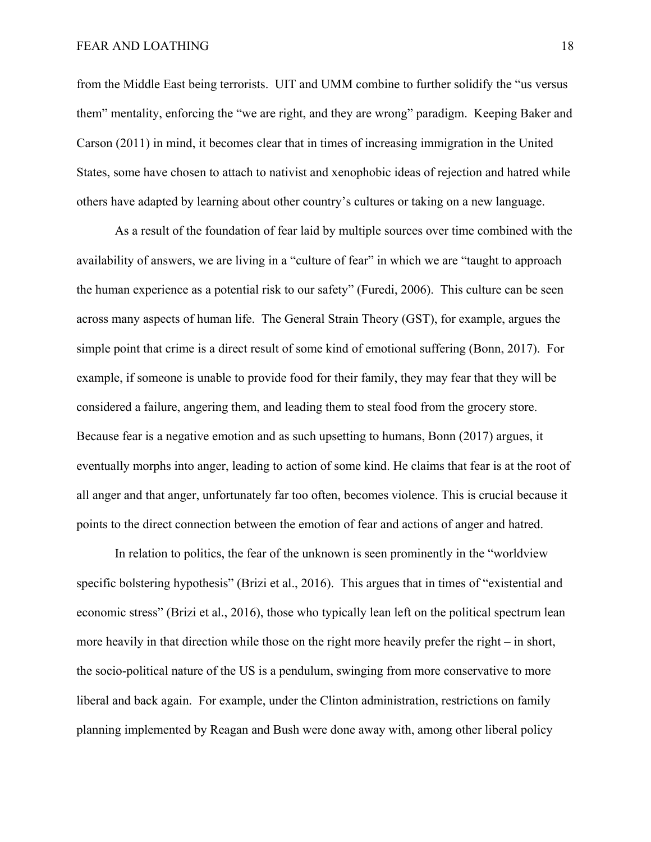from the Middle East being terrorists. UIT and UMM combine to further solidify the "us versus them" mentality, enforcing the "we are right, and they are wrong" paradigm. Keeping Baker and Carson (2011) in mind, it becomes clear that in times of increasing immigration in the United States, some have chosen to attach to nativist and xenophobic ideas of rejection and hatred while others have adapted by learning about other country's cultures or taking on a new language.

 As a result of the foundation of fear laid by multiple sources over time combined with the availability of answers, we are living in a "culture of fear" in which we are "taught to approach the human experience as a potential risk to our safety" (Furedi, 2006). This culture can be seen across many aspects of human life. The General Strain Theory (GST), for example, argues the simple point that crime is a direct result of some kind of emotional suffering (Bonn, 2017). For example, if someone is unable to provide food for their family, they may fear that they will be considered a failure, angering them, and leading them to steal food from the grocery store. Because fear is a negative emotion and as such upsetting to humans, Bonn (2017) argues, it eventually morphs into anger, leading to action of some kind. He claims that fear is at the root of all anger and that anger, unfortunately far too often, becomes violence. This is crucial because it points to the direct connection between the emotion of fear and actions of anger and hatred.

 In relation to politics, the fear of the unknown is seen prominently in the "worldview specific bolstering hypothesis" (Brizi et al., 2016). This argues that in times of "existential and economic stress" (Brizi et al., 2016), those who typically lean left on the political spectrum lean more heavily in that direction while those on the right more heavily prefer the right – in short, the socio-political nature of the US is a pendulum, swinging from more conservative to more liberal and back again. For example, under the Clinton administration, restrictions on family planning implemented by Reagan and Bush were done away with, among other liberal policy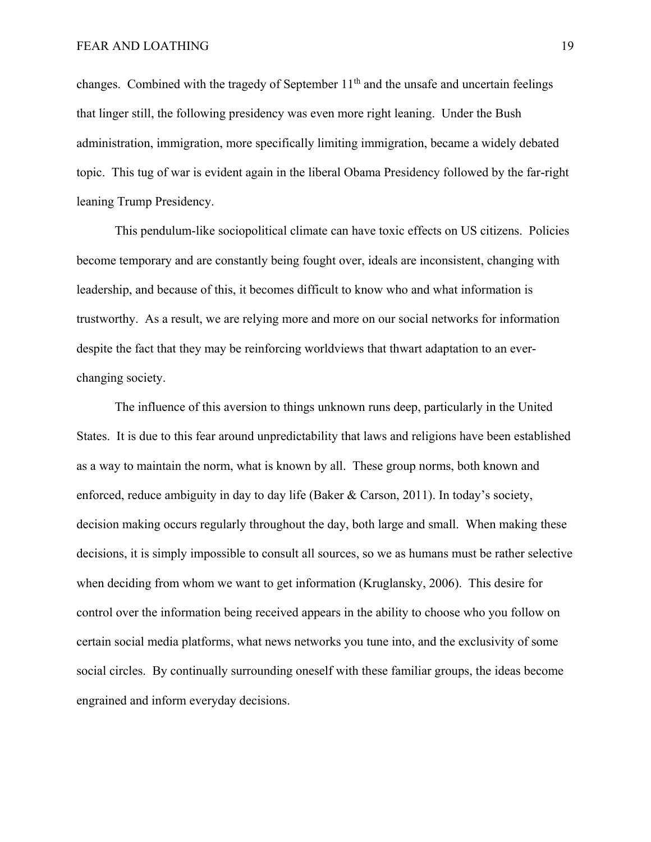changes. Combined with the tragedy of September  $11<sup>th</sup>$  and the unsafe and uncertain feelings that linger still, the following presidency was even more right leaning. Under the Bush administration, immigration, more specifically limiting immigration, became a widely debated topic. This tug of war is evident again in the liberal Obama Presidency followed by the far-right leaning Trump Presidency.

 This pendulum-like sociopolitical climate can have toxic effects on US citizens. Policies become temporary and are constantly being fought over, ideals are inconsistent, changing with leadership, and because of this, it becomes difficult to know who and what information is trustworthy. As a result, we are relying more and more on our social networks for information despite the fact that they may be reinforcing worldviews that thwart adaptation to an everchanging society.

 The influence of this aversion to things unknown runs deep, particularly in the United States. It is due to this fear around unpredictability that laws and religions have been established as a way to maintain the norm, what is known by all. These group norms, both known and enforced, reduce ambiguity in day to day life (Baker & Carson, 2011). In today's society, decision making occurs regularly throughout the day, both large and small. When making these decisions, it is simply impossible to consult all sources, so we as humans must be rather selective when deciding from whom we want to get information (Kruglansky, 2006). This desire for control over the information being received appears in the ability to choose who you follow on certain social media platforms, what news networks you tune into, and the exclusivity of some social circles. By continually surrounding oneself with these familiar groups, the ideas become engrained and inform everyday decisions.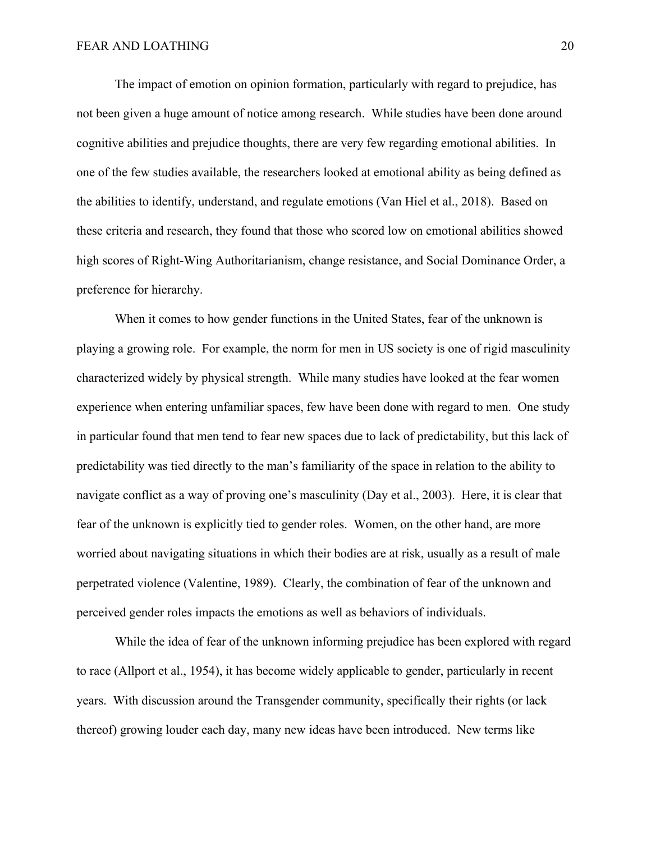The impact of emotion on opinion formation, particularly with regard to prejudice, has not been given a huge amount of notice among research. While studies have been done around cognitive abilities and prejudice thoughts, there are very few regarding emotional abilities. In one of the few studies available, the researchers looked at emotional ability as being defined as the abilities to identify, understand, and regulate emotions (Van Hiel et al., 2018). Based on these criteria and research, they found that those who scored low on emotional abilities showed high scores of Right-Wing Authoritarianism, change resistance, and Social Dominance Order, a preference for hierarchy.

 When it comes to how gender functions in the United States, fear of the unknown is playing a growing role. For example, the norm for men in US society is one of rigid masculinity characterized widely by physical strength. While many studies have looked at the fear women experience when entering unfamiliar spaces, few have been done with regard to men. One study in particular found that men tend to fear new spaces due to lack of predictability, but this lack of predictability was tied directly to the man's familiarity of the space in relation to the ability to navigate conflict as a way of proving one's masculinity (Day et al., 2003). Here, it is clear that fear of the unknown is explicitly tied to gender roles. Women, on the other hand, are more worried about navigating situations in which their bodies are at risk, usually as a result of male perpetrated violence (Valentine, 1989). Clearly, the combination of fear of the unknown and perceived gender roles impacts the emotions as well as behaviors of individuals.

While the idea of fear of the unknown informing prejudice has been explored with regard to race (Allport et al., 1954), it has become widely applicable to gender, particularly in recent years. With discussion around the Transgender community, specifically their rights (or lack thereof) growing louder each day, many new ideas have been introduced. New terms like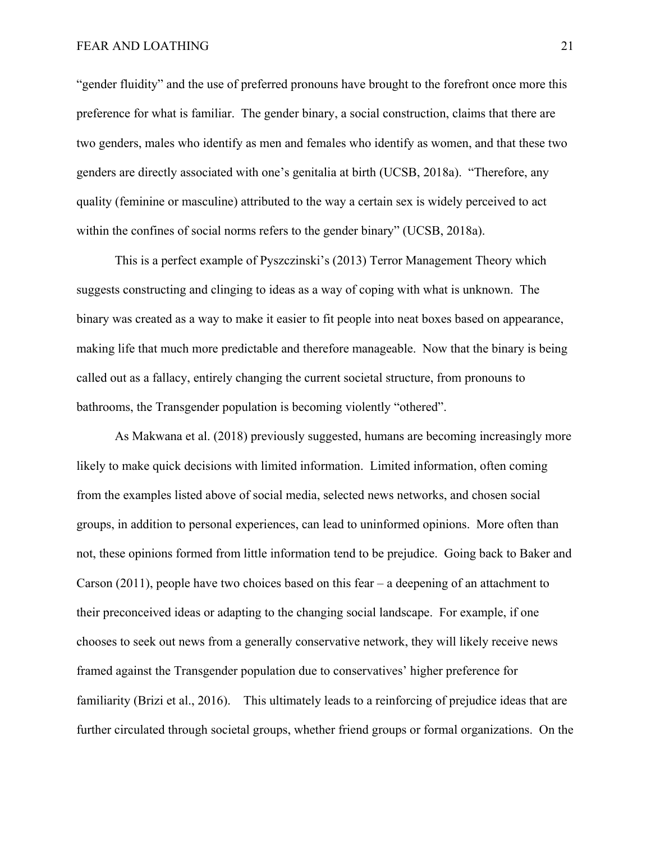"gender fluidity" and the use of preferred pronouns have brought to the forefront once more this preference for what is familiar. The gender binary, a social construction, claims that there are two genders, males who identify as men and females who identify as women, and that these two genders are directly associated with one's genitalia at birth (UCSB, 2018a). "Therefore, any quality (feminine or masculine) attributed to the way a certain sex is widely perceived to act within the confines of social norms refers to the gender binary" (UCSB, 2018a).

This is a perfect example of Pyszczinski's (2013) Terror Management Theory which suggests constructing and clinging to ideas as a way of coping with what is unknown. The binary was created as a way to make it easier to fit people into neat boxes based on appearance, making life that much more predictable and therefore manageable. Now that the binary is being called out as a fallacy, entirely changing the current societal structure, from pronouns to bathrooms, the Transgender population is becoming violently "othered".

As Makwana et al. (2018) previously suggested, humans are becoming increasingly more likely to make quick decisions with limited information. Limited information, often coming from the examples listed above of social media, selected news networks, and chosen social groups, in addition to personal experiences, can lead to uninformed opinions. More often than not, these opinions formed from little information tend to be prejudice. Going back to Baker and Carson (2011), people have two choices based on this fear – a deepening of an attachment to their preconceived ideas or adapting to the changing social landscape. For example, if one chooses to seek out news from a generally conservative network, they will likely receive news framed against the Transgender population due to conservatives' higher preference for familiarity (Brizi et al., 2016). This ultimately leads to a reinforcing of prejudice ideas that are further circulated through societal groups, whether friend groups or formal organizations. On the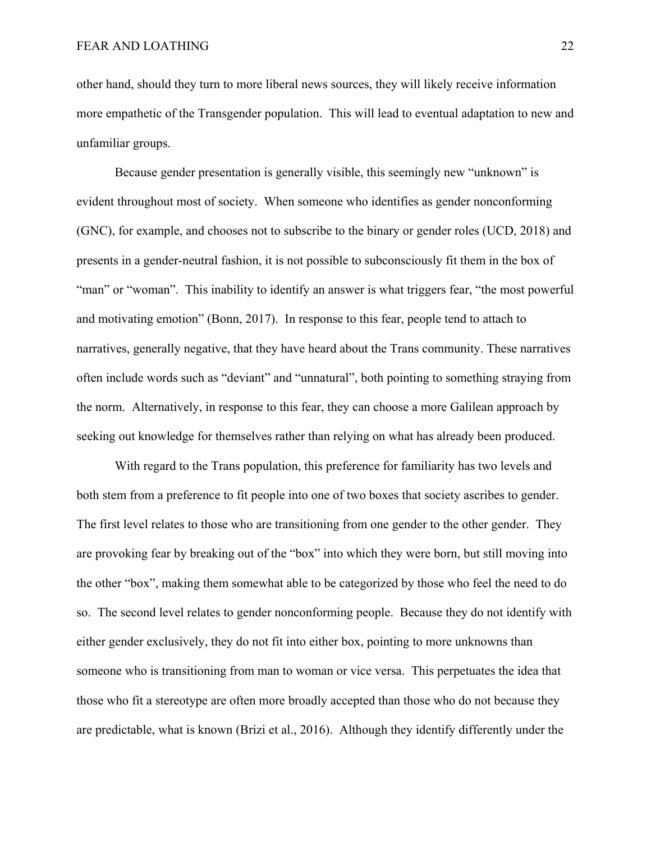other hand, should they turn to more liberal news sources, they will likely receive information more empathetic of the Transgender population. This will lead to eventual adaptation to new and unfamiliar groups.

Because gender presentation is generally visible, this seemingly new "unknown" is evident throughout most of society. When someone who identifies as gender nonconforming (GNC), for example, and chooses not to subscribe to the binary or gender roles (UCD, 2018) and presents in a gender-neutral fashion, it is not possible to subconsciously fit them in the box of "man" or "woman". This inability to identify an answer is what triggers fear, "the most powerful" and motivating emotion" (Bonn, 2017). In response to this fear, people tend to attach to narratives, generally negative, that they have heard about the Trans community. These narratives often include words such as "deviant" and "unnatural", both pointing to something straying from the norm. Alternatively, in response to this fear, they can choose a more Galilean approach by seeking out knowledge for themselves rather than relying on what has already been produced.

With regard to the Trans population, this preference for familiarity has two levels and both stem from a preference to fit people into one of two boxes that society ascribes to gender. The first level relates to those who are transitioning from one gender to the other gender. They are provoking fear by breaking out of the "box" into which they were born, but still moving into the other "box", making them somewhat able to be categorized by those who feel the need to do so. The second level relates to gender nonconforming people. Because they do not identify with either gender exclusively, they do not fit into either box, pointing to more unknowns than someone who is transitioning from man to woman or vice versa. This perpetuates the idea that those who fit a stereotype are often more broadly accepted than those who do not because they are predictable, what is known (Brizi et al., 2016). Although they identify differently under the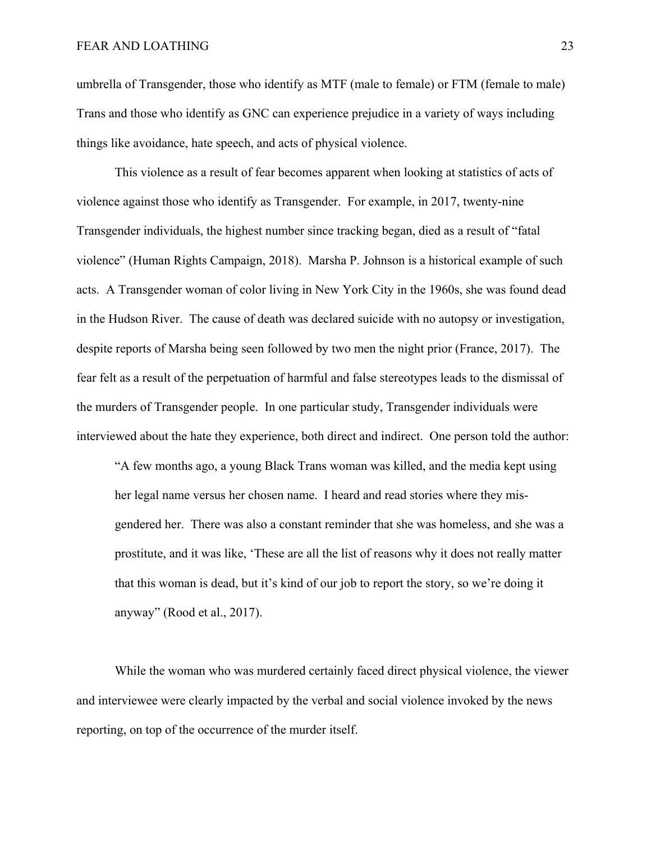umbrella of Transgender, those who identify as MTF (male to female) or FTM (female to male) Trans and those who identify as GNC can experience prejudice in a variety of ways including things like avoidance, hate speech, and acts of physical violence.

This violence as a result of fear becomes apparent when looking at statistics of acts of violence against those who identify as Transgender. For example, in 2017, twenty-nine Transgender individuals, the highest number since tracking began, died as a result of "fatal violence" (Human Rights Campaign, 2018). Marsha P. Johnson is a historical example of such acts. A Transgender woman of color living in New York City in the 1960s, she was found dead in the Hudson River. The cause of death was declared suicide with no autopsy or investigation, despite reports of Marsha being seen followed by two men the night prior (France, 2017). The fear felt as a result of the perpetuation of harmful and false stereotypes leads to the dismissal of the murders of Transgender people. In one particular study, Transgender individuals were interviewed about the hate they experience, both direct and indirect. One person told the author:

"A few months ago, a young Black Trans woman was killed, and the media kept using her legal name versus her chosen name. I heard and read stories where they misgendered her. There was also a constant reminder that she was homeless, and she was a prostitute, and it was like, 'These are all the list of reasons why it does not really matter that this woman is dead, but it's kind of our job to report the story, so we're doing it anyway" (Rood et al., 2017).

While the woman who was murdered certainly faced direct physical violence, the viewer and interviewee were clearly impacted by the verbal and social violence invoked by the news reporting, on top of the occurrence of the murder itself.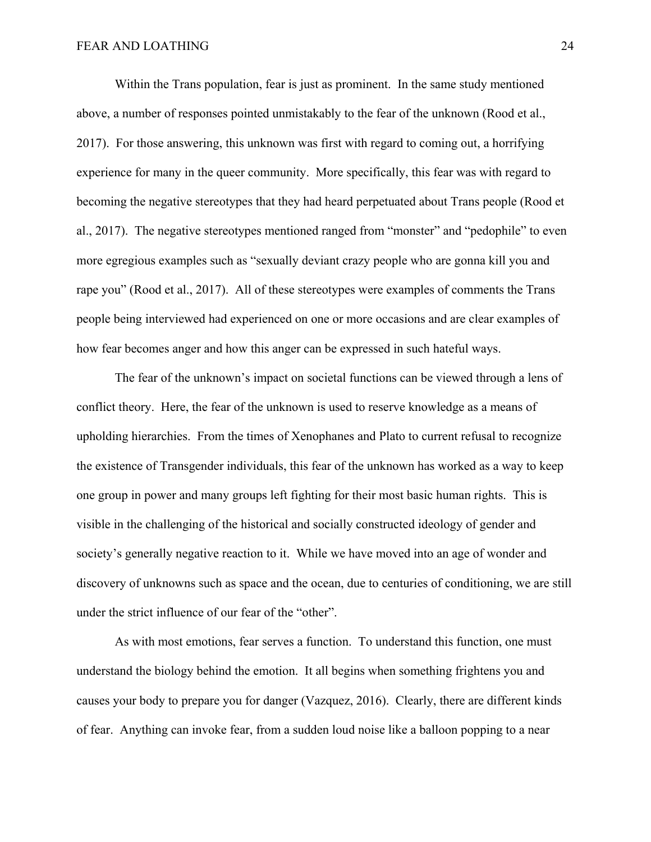Within the Trans population, fear is just as prominent. In the same study mentioned above, a number of responses pointed unmistakably to the fear of the unknown (Rood et al., 2017). For those answering, this unknown was first with regard to coming out, a horrifying experience for many in the queer community. More specifically, this fear was with regard to becoming the negative stereotypes that they had heard perpetuated about Trans people (Rood et al., 2017). The negative stereotypes mentioned ranged from "monster" and "pedophile" to even more egregious examples such as "sexually deviant crazy people who are gonna kill you and rape you" (Rood et al., 2017). All of these stereotypes were examples of comments the Trans people being interviewed had experienced on one or more occasions and are clear examples of how fear becomes anger and how this anger can be expressed in such hateful ways.

 The fear of the unknown's impact on societal functions can be viewed through a lens of conflict theory. Here, the fear of the unknown is used to reserve knowledge as a means of upholding hierarchies. From the times of Xenophanes and Plato to current refusal to recognize the existence of Transgender individuals, this fear of the unknown has worked as a way to keep one group in power and many groups left fighting for their most basic human rights. This is visible in the challenging of the historical and socially constructed ideology of gender and society's generally negative reaction to it. While we have moved into an age of wonder and discovery of unknowns such as space and the ocean, due to centuries of conditioning, we are still under the strict influence of our fear of the "other".

 As with most emotions, fear serves a function. To understand this function, one must understand the biology behind the emotion. It all begins when something frightens you and causes your body to prepare you for danger (Vazquez, 2016). Clearly, there are different kinds of fear. Anything can invoke fear, from a sudden loud noise like a balloon popping to a near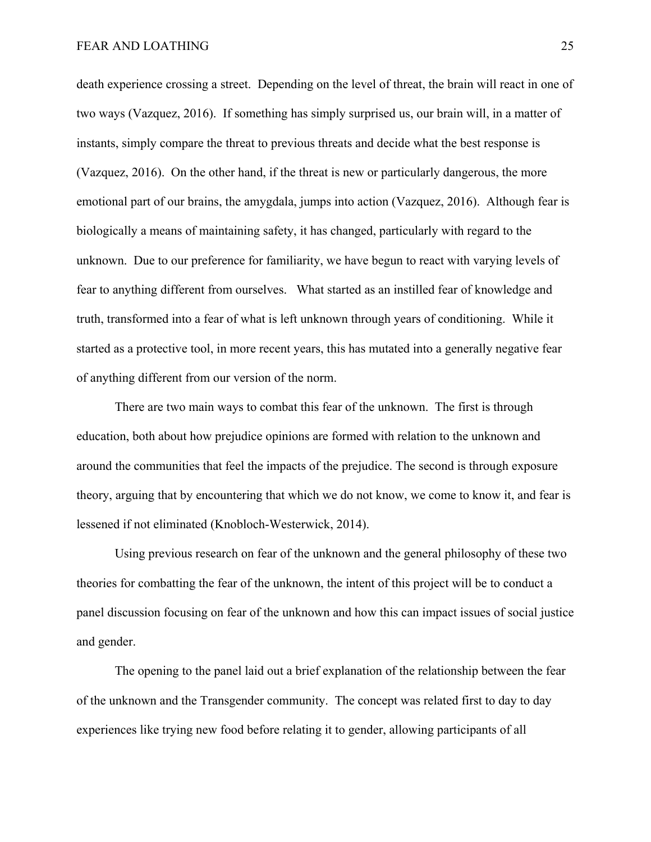death experience crossing a street. Depending on the level of threat, the brain will react in one of two ways (Vazquez, 2016). If something has simply surprised us, our brain will, in a matter of instants, simply compare the threat to previous threats and decide what the best response is (Vazquez, 2016). On the other hand, if the threat is new or particularly dangerous, the more emotional part of our brains, the amygdala, jumps into action (Vazquez, 2016). Although fear is biologically a means of maintaining safety, it has changed, particularly with regard to the unknown. Due to our preference for familiarity, we have begun to react with varying levels of fear to anything different from ourselves. What started as an instilled fear of knowledge and truth, transformed into a fear of what is left unknown through years of conditioning. While it started as a protective tool, in more recent years, this has mutated into a generally negative fear of anything different from our version of the norm.

 There are two main ways to combat this fear of the unknown. The first is through education, both about how prejudice opinions are formed with relation to the unknown and around the communities that feel the impacts of the prejudice. The second is through exposure theory, arguing that by encountering that which we do not know, we come to know it, and fear is lessened if not eliminated (Knobloch-Westerwick, 2014).

 Using previous research on fear of the unknown and the general philosophy of these two theories for combatting the fear of the unknown, the intent of this project will be to conduct a panel discussion focusing on fear of the unknown and how this can impact issues of social justice and gender.

The opening to the panel laid out a brief explanation of the relationship between the fear of the unknown and the Transgender community. The concept was related first to day to day experiences like trying new food before relating it to gender, allowing participants of all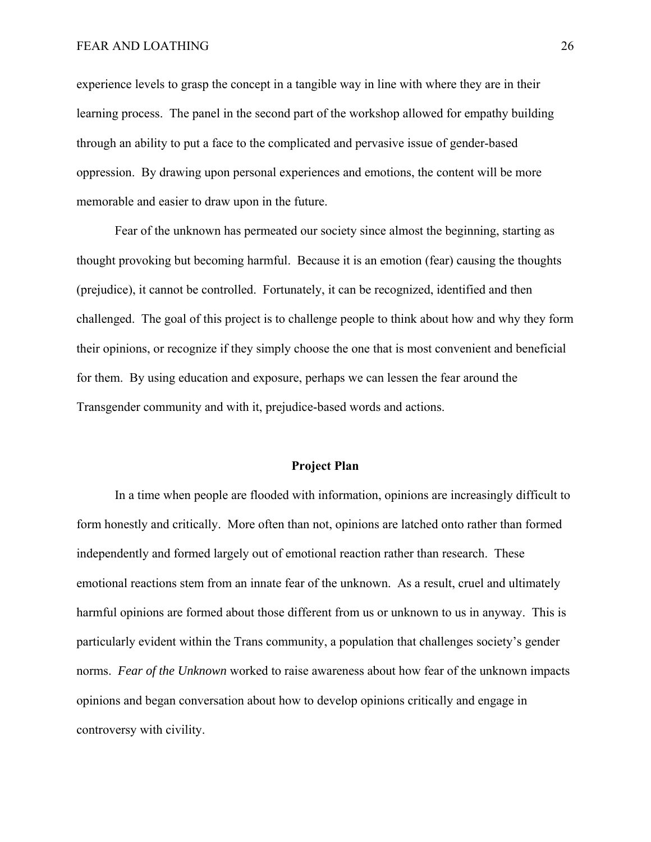experience levels to grasp the concept in a tangible way in line with where they are in their learning process. The panel in the second part of the workshop allowed for empathy building through an ability to put a face to the complicated and pervasive issue of gender-based oppression. By drawing upon personal experiences and emotions, the content will be more memorable and easier to draw upon in the future.

Fear of the unknown has permeated our society since almost the beginning, starting as thought provoking but becoming harmful. Because it is an emotion (fear) causing the thoughts (prejudice), it cannot be controlled. Fortunately, it can be recognized, identified and then challenged. The goal of this project is to challenge people to think about how and why they form their opinions, or recognize if they simply choose the one that is most convenient and beneficial for them. By using education and exposure, perhaps we can lessen the fear around the Transgender community and with it, prejudice-based words and actions.

#### **Project Plan**

In a time when people are flooded with information, opinions are increasingly difficult to form honestly and critically. More often than not, opinions are latched onto rather than formed independently and formed largely out of emotional reaction rather than research. These emotional reactions stem from an innate fear of the unknown. As a result, cruel and ultimately harmful opinions are formed about those different from us or unknown to us in anyway. This is particularly evident within the Trans community, a population that challenges society's gender norms. *Fear of the Unknown* worked to raise awareness about how fear of the unknown impacts opinions and began conversation about how to develop opinions critically and engage in controversy with civility.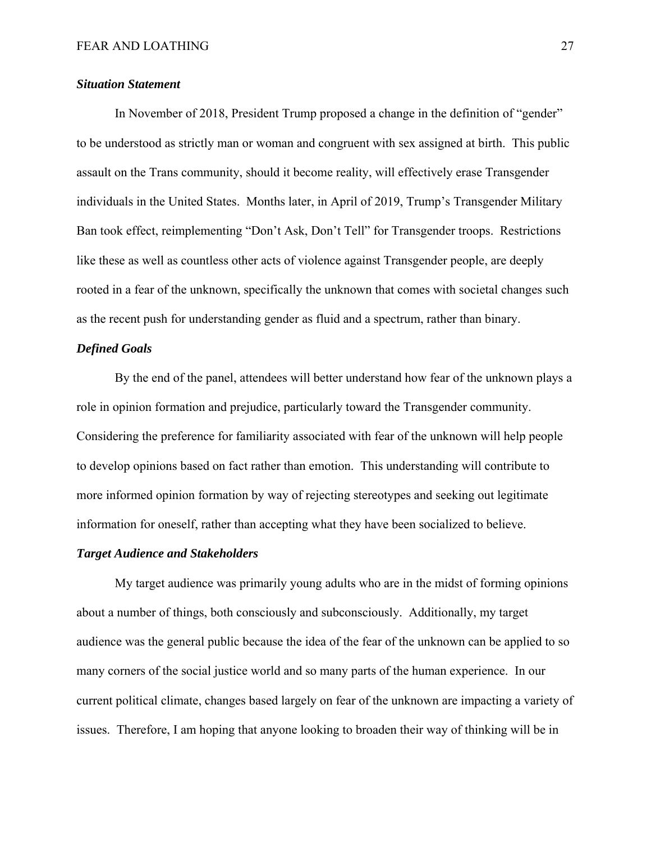#### *Situation Statement*

 In November of 2018, President Trump proposed a change in the definition of "gender" to be understood as strictly man or woman and congruent with sex assigned at birth. This public assault on the Trans community, should it become reality, will effectively erase Transgender individuals in the United States. Months later, in April of 2019, Trump's Transgender Military Ban took effect, reimplementing "Don't Ask, Don't Tell" for Transgender troops. Restrictions like these as well as countless other acts of violence against Transgender people, are deeply rooted in a fear of the unknown, specifically the unknown that comes with societal changes such as the recent push for understanding gender as fluid and a spectrum, rather than binary.

#### *Defined Goals*

 By the end of the panel, attendees will better understand how fear of the unknown plays a role in opinion formation and prejudice, particularly toward the Transgender community. Considering the preference for familiarity associated with fear of the unknown will help people to develop opinions based on fact rather than emotion. This understanding will contribute to more informed opinion formation by way of rejecting stereotypes and seeking out legitimate information for oneself, rather than accepting what they have been socialized to believe.

#### *Target Audience and Stakeholders*

 My target audience was primarily young adults who are in the midst of forming opinions about a number of things, both consciously and subconsciously. Additionally, my target audience was the general public because the idea of the fear of the unknown can be applied to so many corners of the social justice world and so many parts of the human experience. In our current political climate, changes based largely on fear of the unknown are impacting a variety of issues. Therefore, I am hoping that anyone looking to broaden their way of thinking will be in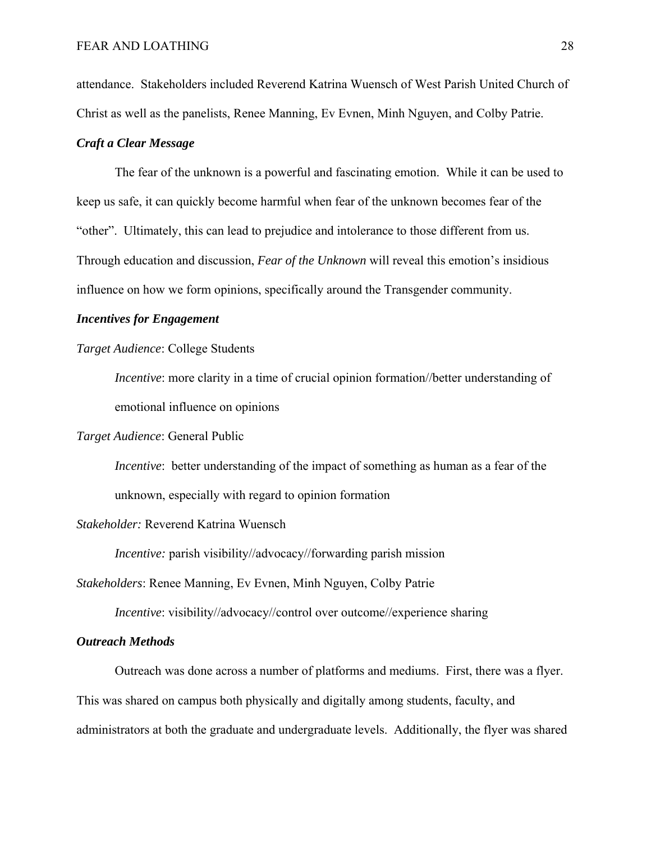attendance. Stakeholders included Reverend Katrina Wuensch of West Parish United Church of Christ as well as the panelists, Renee Manning, Ev Evnen, Minh Nguyen, and Colby Patrie.

#### *Craft a Clear Message*

 The fear of the unknown is a powerful and fascinating emotion. While it can be used to keep us safe, it can quickly become harmful when fear of the unknown becomes fear of the "other". Ultimately, this can lead to prejudice and intolerance to those different from us. Through education and discussion, *Fear of the Unknown* will reveal this emotion's insidious influence on how we form opinions, specifically around the Transgender community.

#### *Incentives for Engagement*

#### *Target Audience*: College Students

*Incentive*: more clarity in a time of crucial opinion formation//better understanding of emotional influence on opinions

#### *Target Audience*: General Public

*Incentive*: better understanding of the impact of something as human as a fear of the unknown, especially with regard to opinion formation

#### *Stakeholder:* Reverend Katrina Wuensch

 *Incentive:* parish visibility//advocacy//forwarding parish mission

*Stakeholders*: Renee Manning, Ev Evnen, Minh Nguyen, Colby Patrie

*Incentive*: visibility//advocacy//control over outcome//experience sharing

#### *Outreach Methods*

 Outreach was done across a number of platforms and mediums. First, there was a flyer. This was shared on campus both physically and digitally among students, faculty, and administrators at both the graduate and undergraduate levels. Additionally, the flyer was shared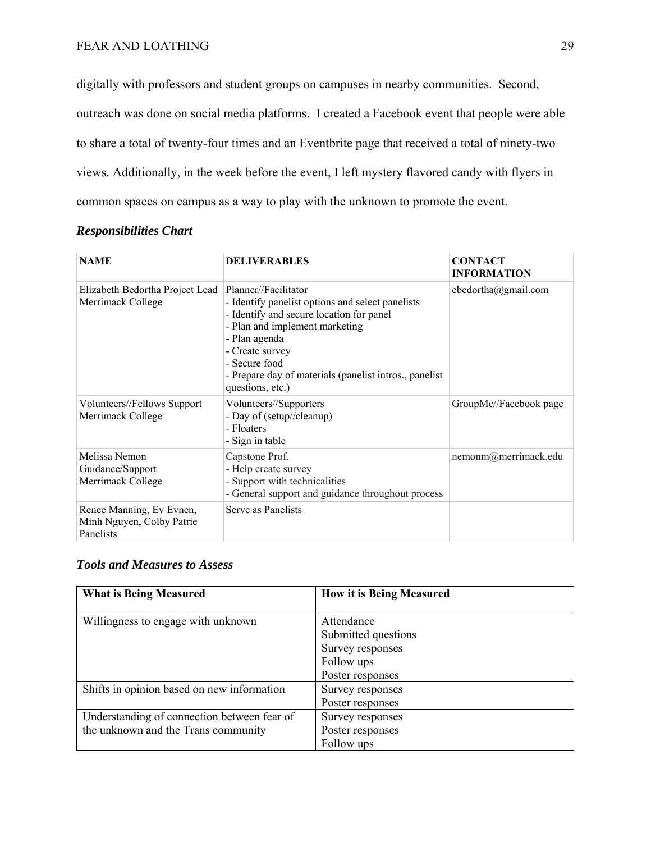digitally with professors and student groups on campuses in nearby communities. Second, outreach was done on social media platforms. I created a Facebook event that people were able to share a total of twenty-four times and an Eventbrite page that received a total of ninety-two views. Additionally, in the week before the event, I left mystery flavored candy with flyers in common spaces on campus as a way to play with the unknown to promote the event.

| <b>NAME</b>                                                        | <b>DELIVERABLES</b>                                                                                                                                                                                                                                                                       | <b>CONTACT</b><br><b>INFORMATION</b> |
|--------------------------------------------------------------------|-------------------------------------------------------------------------------------------------------------------------------------------------------------------------------------------------------------------------------------------------------------------------------------------|--------------------------------------|
| Elizabeth Bedortha Project Lead<br>Merrimack College               | Planner//Facilitator<br>- Identify panelist options and select panelists<br>- Identify and secure location for panel<br>- Plan and implement marketing<br>- Plan agenda<br>- Create survey<br>- Secure food<br>- Prepare day of materials (panelist intros., panelist<br>questions, etc.) | ebedortha@gmail.com                  |
| Volunteers//Fellows Support<br>Merrimack College                   | Volunteers//Supporters<br>- Day of (setup//cleanup)<br>- Floaters<br>- Sign in table                                                                                                                                                                                                      | GroupMe//Facebook page               |
| Melissa Nemon<br>Guidance/Support<br>Merrimack College             | Capstone Prof.<br>- Help create survey<br>- Support with technicalities<br>- General support and guidance throughout process                                                                                                                                                              | nemonm@merrimack.edu                 |
| Renee Manning, Ev Evnen,<br>Minh Nguyen, Colby Patrie<br>Panelists | Serve as Panelists                                                                                                                                                                                                                                                                        |                                      |

## *Responsibilities Chart*

#### *Tools and Measures to Assess*

| <b>What is Being Measured</b>               | <b>How it is Being Measured</b> |
|---------------------------------------------|---------------------------------|
| Willingness to engage with unknown          | Attendance                      |
|                                             | Submitted questions             |
|                                             | Survey responses                |
|                                             | Follow ups                      |
|                                             | Poster responses                |
| Shifts in opinion based on new information  | Survey responses                |
|                                             | Poster responses                |
| Understanding of connection between fear of | Survey responses                |
| the unknown and the Trans community         | Poster responses                |
|                                             | Follow ups                      |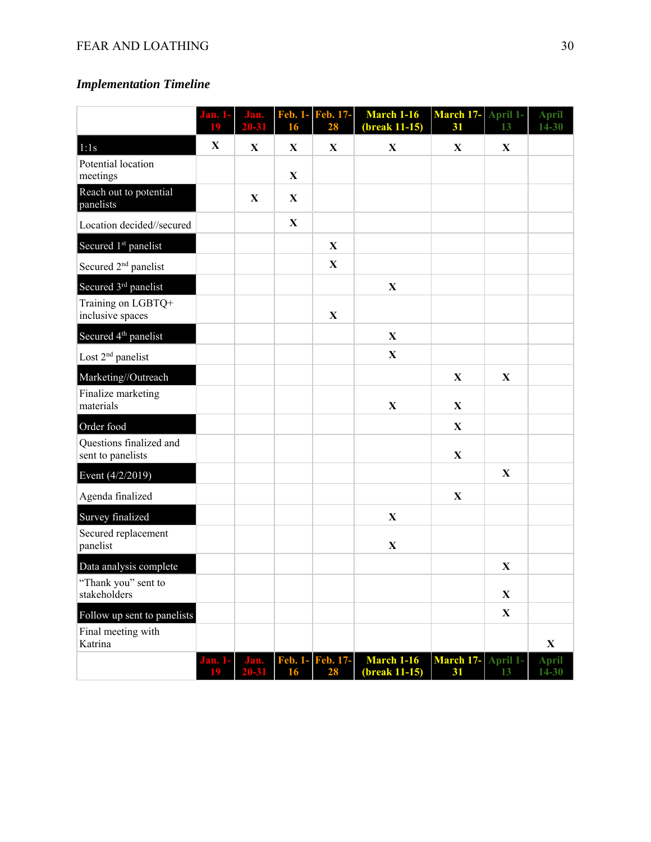# *Implementation Timeline*

|                                              | łЮ.<br>19   | Jan.<br>20-31     | <b>Feb. 1-</b><br>16 | Feb. 17-<br>28         | <b>March 1-16</b><br>(break 11-15) | March 17-<br>31          | April 1-<br>13 | <b>April</b><br>$14 - 30$ |
|----------------------------------------------|-------------|-------------------|----------------------|------------------------|------------------------------------|--------------------------|----------------|---------------------------|
| 1:1s                                         | $\mathbf X$ | $\mathbf X$       | $\mathbf X$          | X                      | $\mathbf X$                        | X                        | X              |                           |
| Potential location<br>meetings               |             |                   | $\mathbf X$          |                        |                                    |                          |                |                           |
| Reach out to potential<br>panelists          |             | X                 | X                    |                        |                                    |                          |                |                           |
| Location decided//secured                    |             |                   | $\mathbf{X}$         |                        |                                    |                          |                |                           |
| Secured 1 <sup>st</sup> panelist             |             |                   |                      | X                      |                                    |                          |                |                           |
| Secured 2 <sup>nd</sup> panelist             |             |                   |                      | X                      |                                    |                          |                |                           |
| Secured 3rd panelist                         |             |                   |                      |                        | $\mathbf X$                        |                          |                |                           |
| Training on LGBTQ+<br>inclusive spaces       |             |                   |                      | $\mathbf X$            |                                    |                          |                |                           |
| Secured 4 <sup>th</sup> panelist             |             |                   |                      |                        | $\mathbf{X}$                       |                          |                |                           |
| Lost 2 <sup>nd</sup> panelist                |             |                   |                      |                        | $\mathbf X$                        |                          |                |                           |
| Marketing//Outreach                          |             |                   |                      |                        |                                    | $\mathbf X$              | X              |                           |
| Finalize marketing<br>materials              |             |                   |                      |                        | $\mathbf X$                        | X                        |                |                           |
| Order food                                   |             |                   |                      |                        |                                    | X                        |                |                           |
| Questions finalized and<br>sent to panelists |             |                   |                      |                        |                                    | $\mathbf X$              |                |                           |
| Event (4/2/2019)                             |             |                   |                      |                        |                                    |                          | X              |                           |
| Agenda finalized                             |             |                   |                      |                        |                                    | $\mathbf{X}$             |                |                           |
| Survey finalized                             |             |                   |                      |                        | $\mathbf X$                        |                          |                |                           |
| Secured replacement<br>panelist              |             |                   |                      |                        | $\mathbf X$                        |                          |                |                           |
| Data analysis complete                       |             |                   |                      |                        |                                    |                          | $\mathbf X$    |                           |
| "Thank you" sent to<br>stakeholders          |             |                   |                      |                        |                                    |                          | $\mathbf{X}$   |                           |
| Follow up sent to panelists                  |             |                   |                      |                        |                                    |                          | $\mathbf{X}$   |                           |
| Final meeting with<br>Katrina                |             |                   |                      |                        |                                    |                          |                | $\mathbf{X}$              |
|                                              | Jan. 1-     | Jan.<br>$20 - 31$ | 16                   | Feb. 1- Feb. 17-<br>28 | <b>March 1-16</b><br>(break 11-15) | March 17- April 1-<br>31 |                | <b>April</b><br>$14 - 30$ |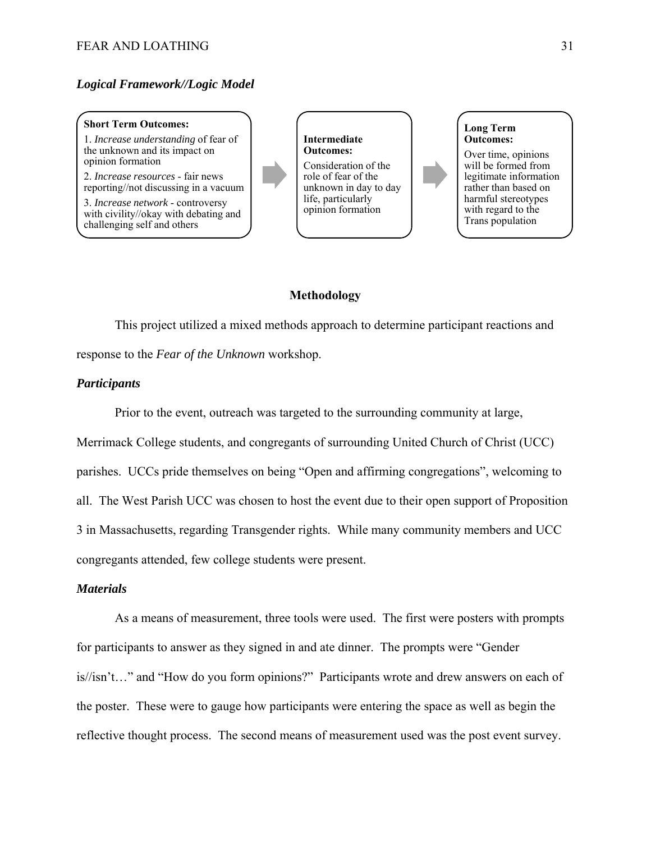#### *Logical Framework//Logic Model*

#### **Short Term Outcomes:**

1. *Increase understanding* of fear of the unknown and its impact on opinion formation

2. *Increase resources* - fair news reporting//not discussing in a vacuum

3. *Increase network* - controversy with civility//okay with debating and challenging self and others

**Intermediate Outcomes:** 

Consideration of the role of fear of the unknown in day to day life, particularly opinion formation

#### **Methodology**

This project utilized a mixed methods approach to determine participant reactions and response to the *Fear of the Unknown* workshop.

#### *Participants*

 Prior to the event, outreach was targeted to the surrounding community at large, Merrimack College students, and congregants of surrounding United Church of Christ (UCC) parishes. UCCs pride themselves on being "Open and affirming congregations", welcoming to all. The West Parish UCC was chosen to host the event due to their open support of Proposition 3 in Massachusetts, regarding Transgender rights. While many community members and UCC congregants attended, few college students were present.

#### *Materials*

As a means of measurement, three tools were used. The first were posters with prompts for participants to answer as they signed in and ate dinner. The prompts were "Gender is//isn't…" and "How do you form opinions?" Participants wrote and drew answers on each of the poster. These were to gauge how participants were entering the space as well as begin the reflective thought process. The second means of measurement used was the post event survey.

**Long Term Outcomes:** 

Over time, opinions will be formed from legitimate information rather than based on harmful stereotypes with regard to the Trans population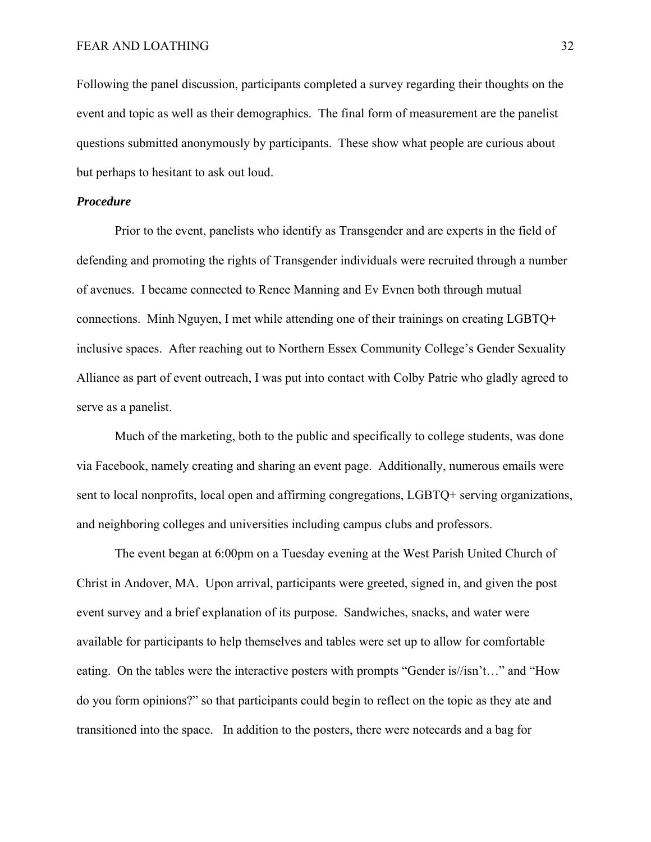Following the panel discussion, participants completed a survey regarding their thoughts on the event and topic as well as their demographics. The final form of measurement are the panelist questions submitted anonymously by participants. These show what people are curious about but perhaps to hesitant to ask out loud.

#### *Procedure*

 Prior to the event, panelists who identify as Transgender and are experts in the field of defending and promoting the rights of Transgender individuals were recruited through a number of avenues. I became connected to Renee Manning and Ev Evnen both through mutual connections. Minh Nguyen, I met while attending one of their trainings on creating LGBTQ+ inclusive spaces. After reaching out to Northern Essex Community College's Gender Sexuality Alliance as part of event outreach, I was put into contact with Colby Patrie who gladly agreed to serve as a panelist.

 Much of the marketing, both to the public and specifically to college students, was done via Facebook, namely creating and sharing an event page. Additionally, numerous emails were sent to local nonprofits, local open and affirming congregations, LGBTQ+ serving organizations, and neighboring colleges and universities including campus clubs and professors.

 The event began at 6:00pm on a Tuesday evening at the West Parish United Church of Christ in Andover, MA. Upon arrival, participants were greeted, signed in, and given the post event survey and a brief explanation of its purpose. Sandwiches, snacks, and water were available for participants to help themselves and tables were set up to allow for comfortable eating. On the tables were the interactive posters with prompts "Gender is//isn't…" and "How do you form opinions?" so that participants could begin to reflect on the topic as they ate and transitioned into the space. In addition to the posters, there were notecards and a bag for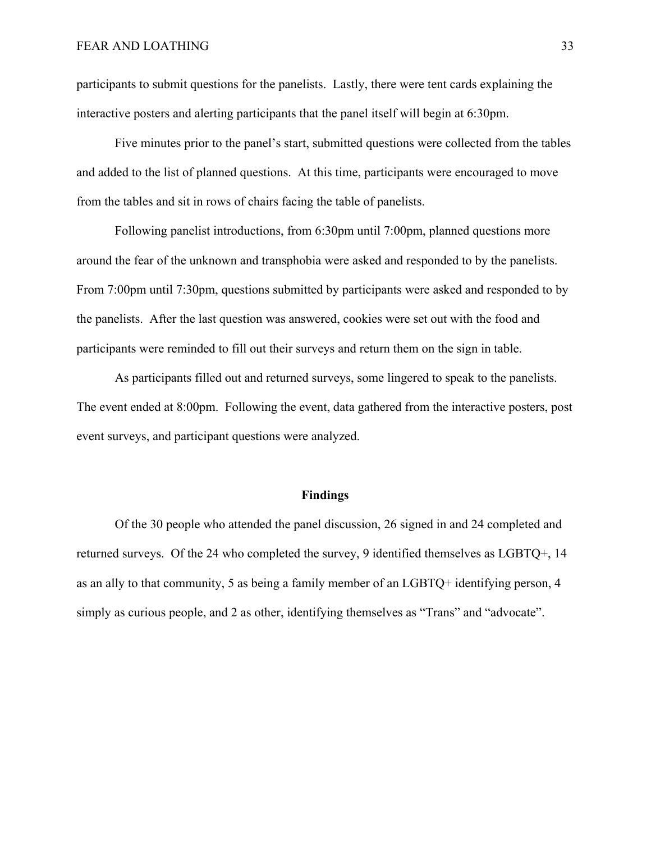participants to submit questions for the panelists. Lastly, there were tent cards explaining the interactive posters and alerting participants that the panel itself will begin at 6:30pm.

 Five minutes prior to the panel's start, submitted questions were collected from the tables and added to the list of planned questions. At this time, participants were encouraged to move from the tables and sit in rows of chairs facing the table of panelists.

 Following panelist introductions, from 6:30pm until 7:00pm, planned questions more around the fear of the unknown and transphobia were asked and responded to by the panelists. From 7:00pm until 7:30pm, questions submitted by participants were asked and responded to by the panelists. After the last question was answered, cookies were set out with the food and participants were reminded to fill out their surveys and return them on the sign in table.

 As participants filled out and returned surveys, some lingered to speak to the panelists. The event ended at 8:00pm. Following the event, data gathered from the interactive posters, post event surveys, and participant questions were analyzed.

#### **Findings**

 Of the 30 people who attended the panel discussion, 26 signed in and 24 completed and returned surveys. Of the 24 who completed the survey, 9 identified themselves as LGBTQ+, 14 as an ally to that community, 5 as being a family member of an LGBTQ+ identifying person, 4 simply as curious people, and 2 as other, identifying themselves as "Trans" and "advocate".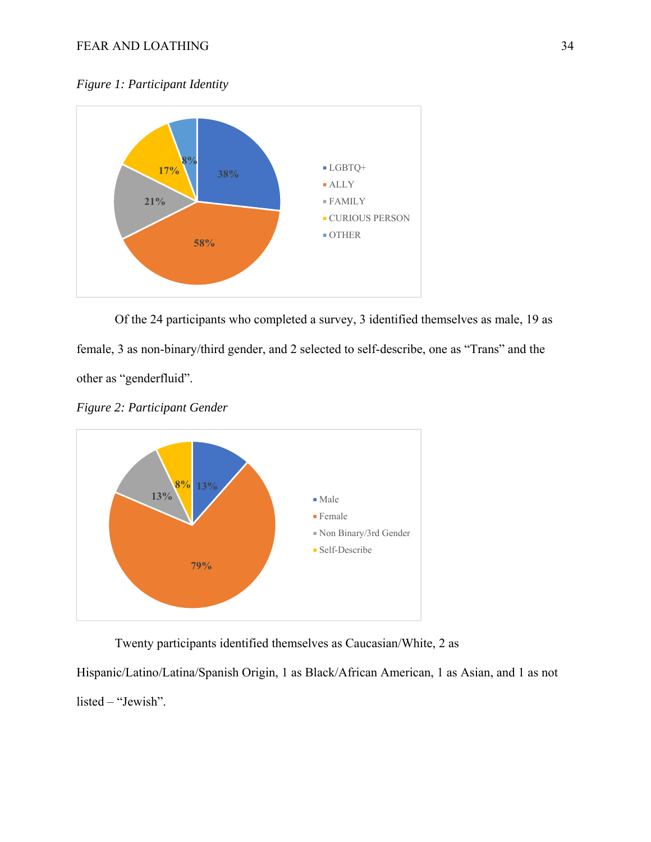*Figure 1: Participant Identity* 



Of the 24 participants who completed a survey, 3 identified themselves as male, 19 as female, 3 as non-binary/third gender, and 2 selected to self-describe, one as "Trans" and the other as "genderfluid".

*Figure 2: Participant Gender* 



Twenty participants identified themselves as Caucasian/White, 2 as

Hispanic/Latino/Latina/Spanish Origin, 1 as Black/African American, 1 as Asian, and 1 as not listed – "Jewish".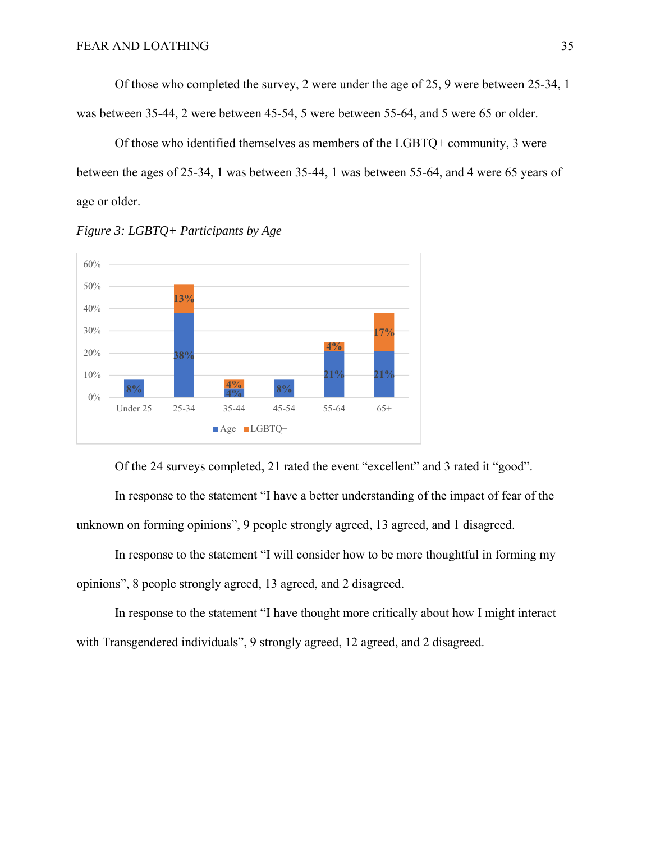Of those who completed the survey, 2 were under the age of 25, 9 were between 25-34, 1 was between 35-44, 2 were between 45-54, 5 were between 55-64, and 5 were 65 or older.

 Of those who identified themselves as members of the LGBTQ+ community, 3 were between the ages of 25-34, 1 was between 35-44, 1 was between 55-64, and 4 were 65 years of age or older.



*Figure 3: LGBTQ+ Participants by Age* 

Of the 24 surveys completed, 21 rated the event "excellent" and 3 rated it "good".

 In response to the statement "I have a better understanding of the impact of fear of the unknown on forming opinions", 9 people strongly agreed, 13 agreed, and 1 disagreed.

 In response to the statement "I will consider how to be more thoughtful in forming my opinions", 8 people strongly agreed, 13 agreed, and 2 disagreed.

 In response to the statement "I have thought more critically about how I might interact with Transgendered individuals", 9 strongly agreed, 12 agreed, and 2 disagreed.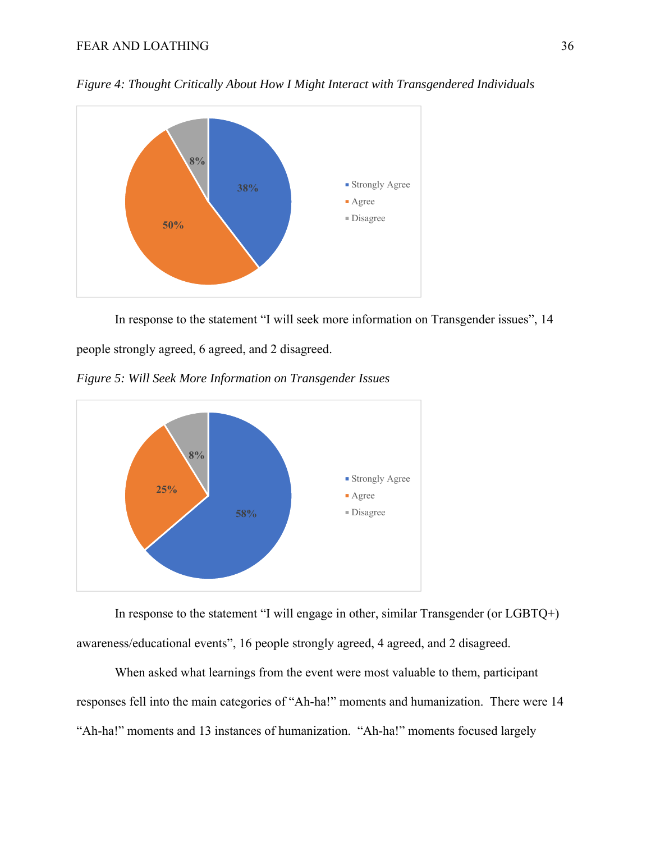

*Figure 4: Thought Critically About How I Might Interact with Transgendered Individuals* 

In response to the statement "I will seek more information on Transgender issues", 14

people strongly agreed, 6 agreed, and 2 disagreed.

*Figure 5: Will Seek More Information on Transgender Issues* 



 In response to the statement "I will engage in other, similar Transgender (or LGBTQ+) awareness/educational events", 16 people strongly agreed, 4 agreed, and 2 disagreed.

 When asked what learnings from the event were most valuable to them, participant responses fell into the main categories of "Ah-ha!" moments and humanization. There were 14 "Ah-ha!" moments and 13 instances of humanization. "Ah-ha!" moments focused largely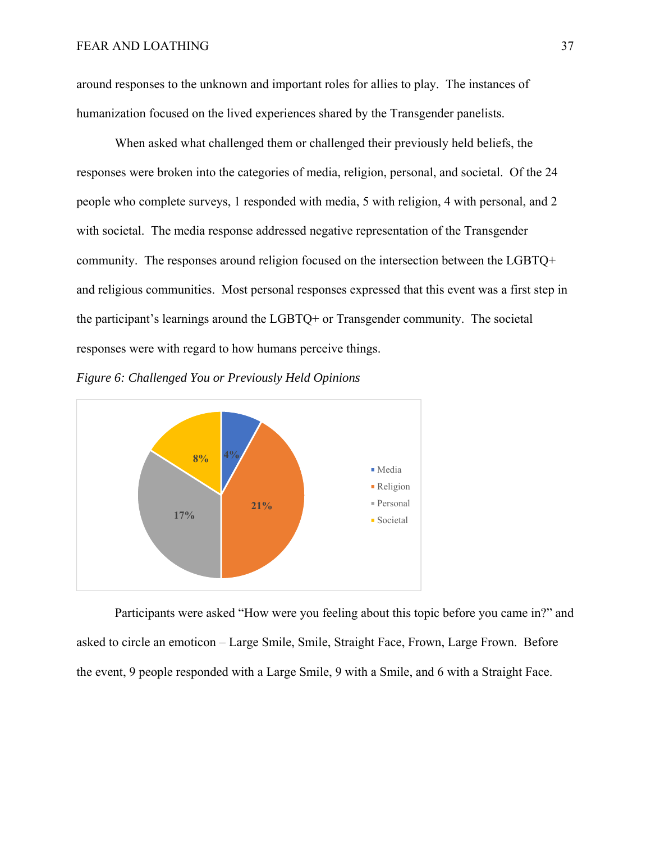around responses to the unknown and important roles for allies to play. The instances of humanization focused on the lived experiences shared by the Transgender panelists.

 When asked what challenged them or challenged their previously held beliefs, the responses were broken into the categories of media, religion, personal, and societal. Of the 24 people who complete surveys, 1 responded with media, 5 with religion, 4 with personal, and 2 with societal. The media response addressed negative representation of the Transgender community. The responses around religion focused on the intersection between the LGBTQ+ and religious communities. Most personal responses expressed that this event was a first step in the participant's learnings around the LGBTQ+ or Transgender community. The societal responses were with regard to how humans perceive things.





 Participants were asked "How were you feeling about this topic before you came in?" and asked to circle an emoticon – Large Smile, Smile, Straight Face, Frown, Large Frown. Before the event, 9 people responded with a Large Smile, 9 with a Smile, and 6 with a Straight Face.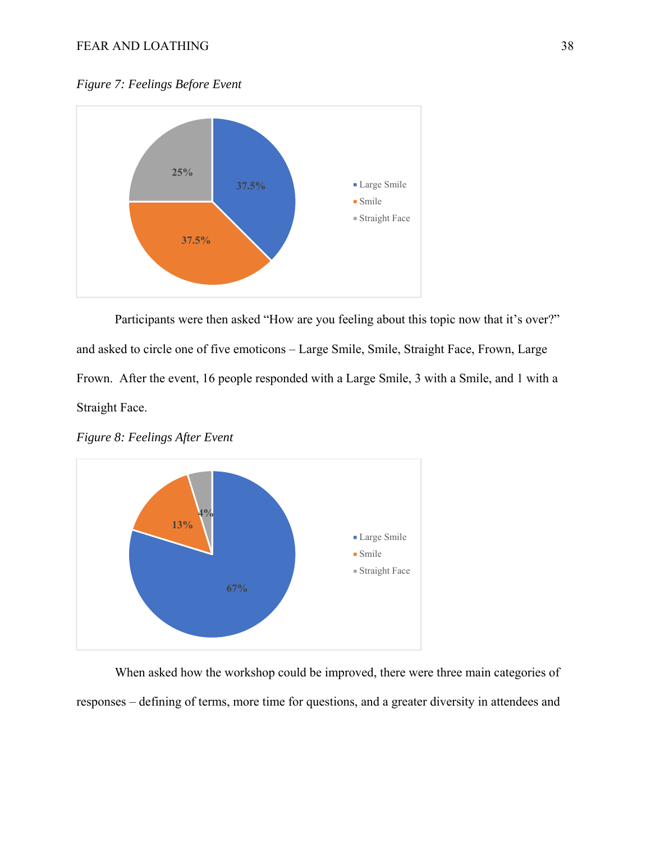*Figure 7: Feelings Before Event* 



 Participants were then asked "How are you feeling about this topic now that it's over?" and asked to circle one of five emoticons – Large Smile, Smile, Straight Face, Frown, Large Frown. After the event, 16 people responded with a Large Smile, 3 with a Smile, and 1 with a Straight Face.

*Figure 8: Feelings After Event* 



 When asked how the workshop could be improved, there were three main categories of responses – defining of terms, more time for questions, and a greater diversity in attendees and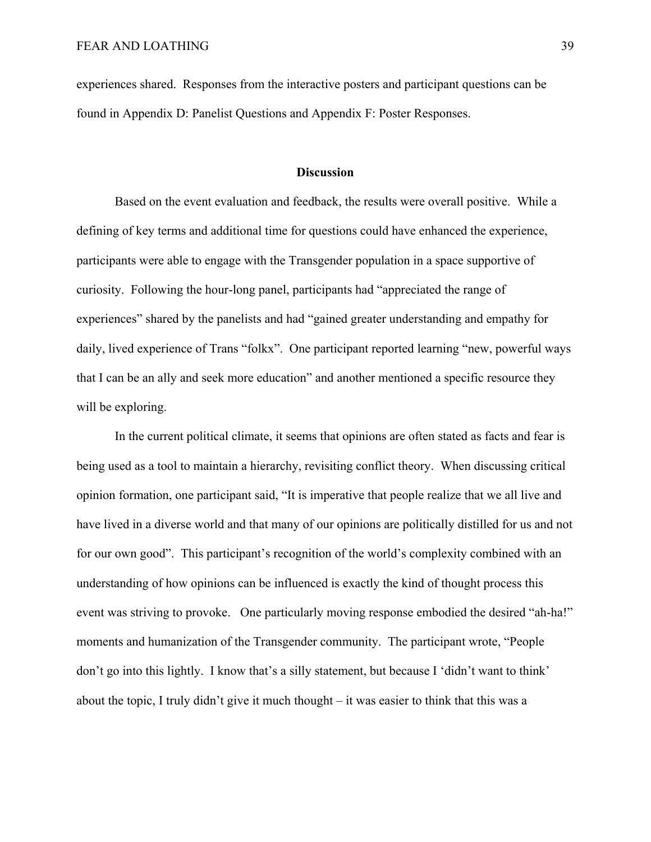experiences shared. Responses from the interactive posters and participant questions can be found in Appendix D: Panelist Questions and Appendix F: Poster Responses.

#### **Discussion**

Based on the event evaluation and feedback, the results were overall positive. While a defining of key terms and additional time for questions could have enhanced the experience, participants were able to engage with the Transgender population in a space supportive of curiosity. Following the hour-long panel, participants had "appreciated the range of experiences" shared by the panelists and had "gained greater understanding and empathy for daily, lived experience of Trans "folkx". One participant reported learning "new, powerful ways that I can be an ally and seek more education" and another mentioned a specific resource they will be exploring.

In the current political climate, it seems that opinions are often stated as facts and fear is being used as a tool to maintain a hierarchy, revisiting conflict theory. When discussing critical opinion formation, one participant said, "It is imperative that people realize that we all live and have lived in a diverse world and that many of our opinions are politically distilled for us and not for our own good". This participant's recognition of the world's complexity combined with an understanding of how opinions can be influenced is exactly the kind of thought process this event was striving to provoke. One particularly moving response embodied the desired "ah-ha!" moments and humanization of the Transgender community. The participant wrote, "People don't go into this lightly. I know that's a silly statement, but because I 'didn't want to think' about the topic, I truly didn't give it much thought – it was easier to think that this was a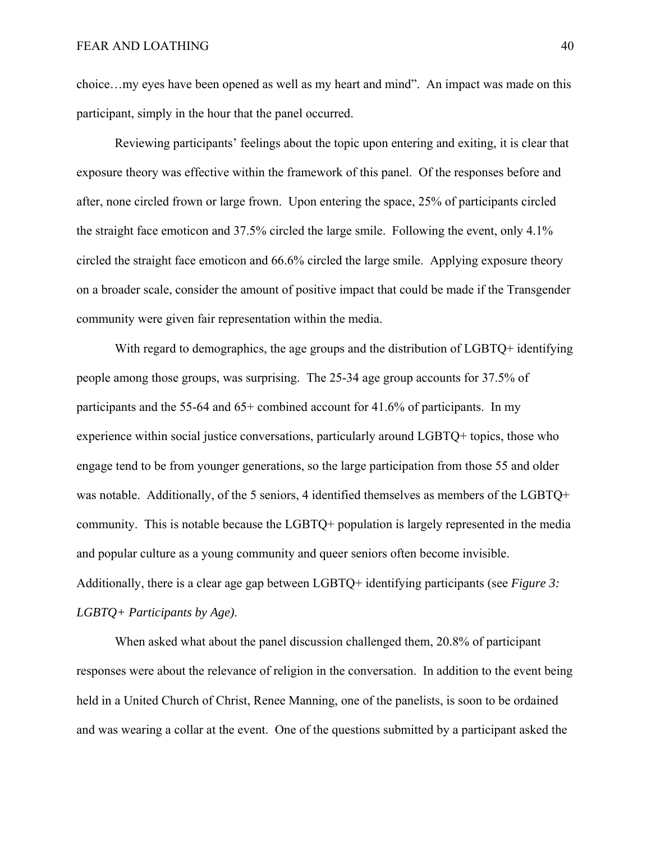choice…my eyes have been opened as well as my heart and mind". An impact was made on this participant, simply in the hour that the panel occurred.

Reviewing participants' feelings about the topic upon entering and exiting, it is clear that exposure theory was effective within the framework of this panel. Of the responses before and after, none circled frown or large frown. Upon entering the space, 25% of participants circled the straight face emoticon and 37.5% circled the large smile. Following the event, only 4.1% circled the straight face emoticon and 66.6% circled the large smile. Applying exposure theory on a broader scale, consider the amount of positive impact that could be made if the Transgender community were given fair representation within the media.

With regard to demographics, the age groups and the distribution of LGBTQ+ identifying people among those groups, was surprising. The 25-34 age group accounts for 37.5% of participants and the 55-64 and 65+ combined account for 41.6% of participants. In my experience within social justice conversations, particularly around LGBTQ+ topics, those who engage tend to be from younger generations, so the large participation from those 55 and older was notable. Additionally, of the 5 seniors, 4 identified themselves as members of the LGBTQ+ community. This is notable because the LGBTQ+ population is largely represented in the media and popular culture as a young community and queer seniors often become invisible. Additionally, there is a clear age gap between LGBTQ+ identifying participants (see *Figure 3: LGBTQ+ Participants by Age)*.

 When asked what about the panel discussion challenged them, 20.8% of participant responses were about the relevance of religion in the conversation. In addition to the event being held in a United Church of Christ, Renee Manning, one of the panelists, is soon to be ordained and was wearing a collar at the event. One of the questions submitted by a participant asked the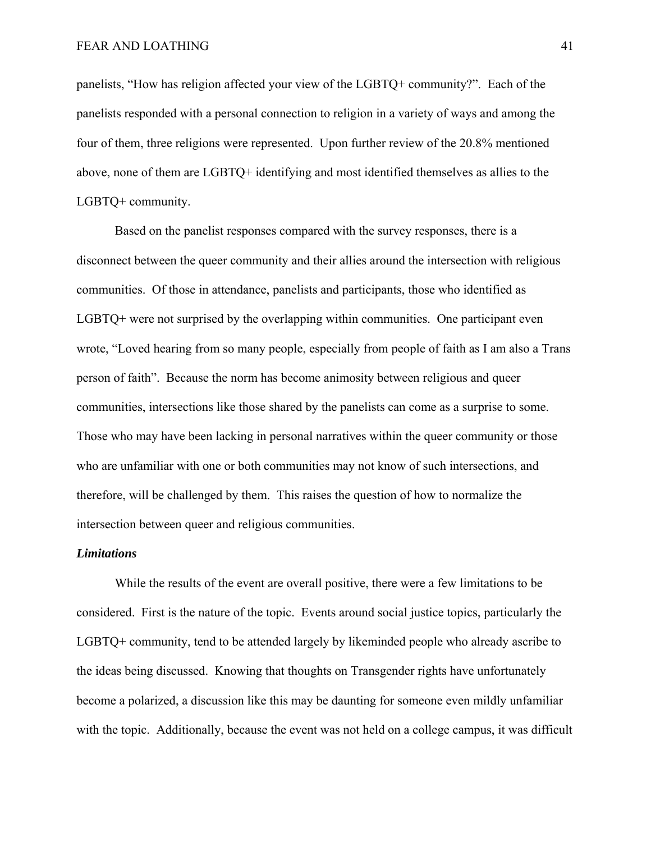panelists, "How has religion affected your view of the LGBTQ+ community?". Each of the panelists responded with a personal connection to religion in a variety of ways and among the four of them, three religions were represented. Upon further review of the 20.8% mentioned above, none of them are LGBTQ+ identifying and most identified themselves as allies to the LGBTQ+ community.

 Based on the panelist responses compared with the survey responses, there is a disconnect between the queer community and their allies around the intersection with religious communities. Of those in attendance, panelists and participants, those who identified as LGBTQ+ were not surprised by the overlapping within communities. One participant even wrote, "Loved hearing from so many people, especially from people of faith as I am also a Trans person of faith". Because the norm has become animosity between religious and queer communities, intersections like those shared by the panelists can come as a surprise to some. Those who may have been lacking in personal narratives within the queer community or those who are unfamiliar with one or both communities may not know of such intersections, and therefore, will be challenged by them. This raises the question of how to normalize the intersection between queer and religious communities.

#### *Limitations*

 While the results of the event are overall positive, there were a few limitations to be considered. First is the nature of the topic. Events around social justice topics, particularly the LGBTQ+ community, tend to be attended largely by likeminded people who already ascribe to the ideas being discussed. Knowing that thoughts on Transgender rights have unfortunately become a polarized, a discussion like this may be daunting for someone even mildly unfamiliar with the topic. Additionally, because the event was not held on a college campus, it was difficult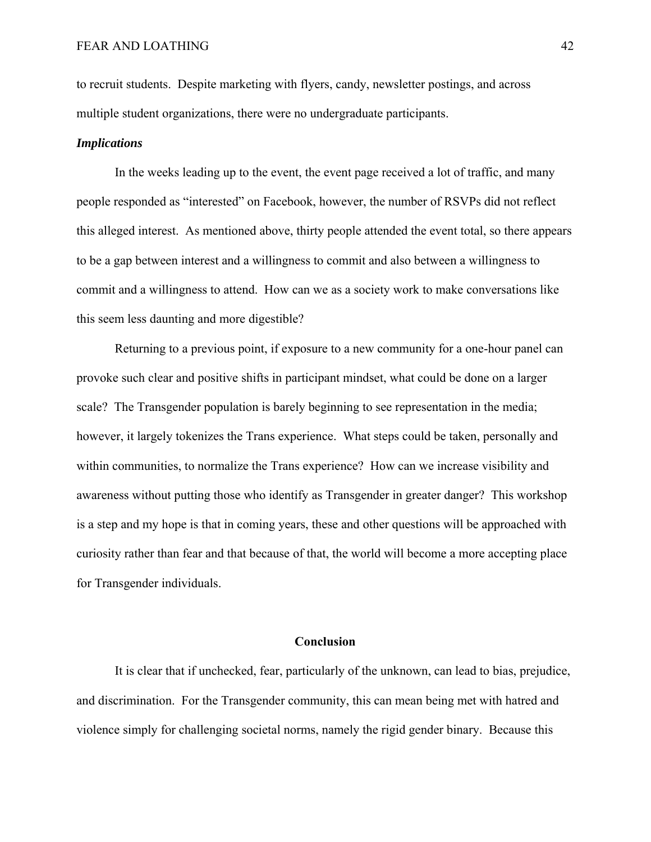to recruit students. Despite marketing with flyers, candy, newsletter postings, and across multiple student organizations, there were no undergraduate participants.

#### *Implications*

In the weeks leading up to the event, the event page received a lot of traffic, and many people responded as "interested" on Facebook, however, the number of RSVPs did not reflect this alleged interest. As mentioned above, thirty people attended the event total, so there appears to be a gap between interest and a willingness to commit and also between a willingness to commit and a willingness to attend. How can we as a society work to make conversations like this seem less daunting and more digestible?

Returning to a previous point, if exposure to a new community for a one-hour panel can provoke such clear and positive shifts in participant mindset, what could be done on a larger scale? The Transgender population is barely beginning to see representation in the media; however, it largely tokenizes the Trans experience. What steps could be taken, personally and within communities, to normalize the Trans experience? How can we increase visibility and awareness without putting those who identify as Transgender in greater danger? This workshop is a step and my hope is that in coming years, these and other questions will be approached with curiosity rather than fear and that because of that, the world will become a more accepting place for Transgender individuals.

#### **Conclusion**

It is clear that if unchecked, fear, particularly of the unknown, can lead to bias, prejudice, and discrimination. For the Transgender community, this can mean being met with hatred and violence simply for challenging societal norms, namely the rigid gender binary. Because this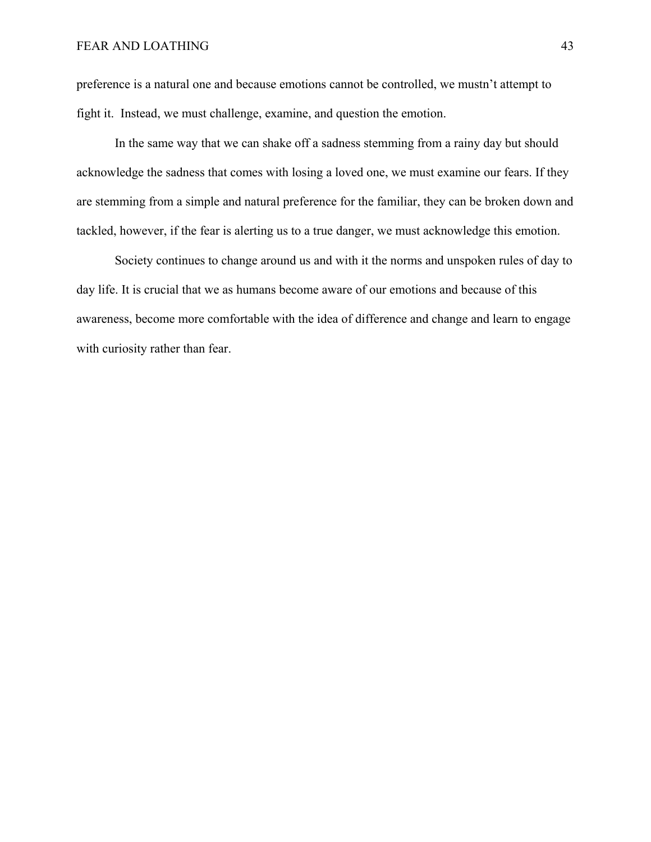preference is a natural one and because emotions cannot be controlled, we mustn't attempt to fight it. Instead, we must challenge, examine, and question the emotion.

 In the same way that we can shake off a sadness stemming from a rainy day but should acknowledge the sadness that comes with losing a loved one, we must examine our fears. If they are stemming from a simple and natural preference for the familiar, they can be broken down and tackled, however, if the fear is alerting us to a true danger, we must acknowledge this emotion.

 Society continues to change around us and with it the norms and unspoken rules of day to day life. It is crucial that we as humans become aware of our emotions and because of this awareness, become more comfortable with the idea of difference and change and learn to engage with curiosity rather than fear.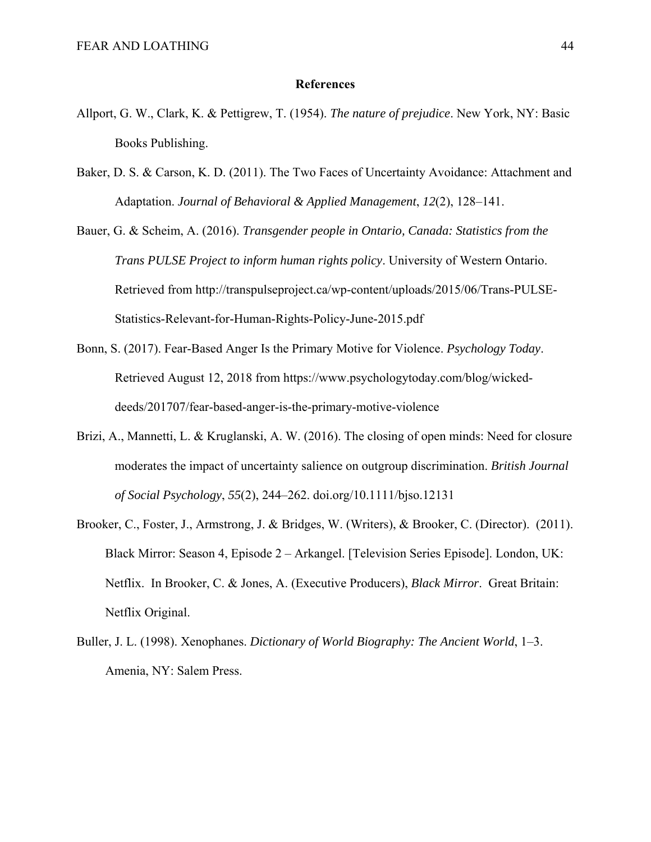#### **References**

- Allport, G. W., Clark, K. & Pettigrew, T. (1954). *The nature of prejudice*. New York, NY: Basic Books Publishing.
- Baker, D. S. & Carson, K. D. (2011). The Two Faces of Uncertainty Avoidance: Attachment and Adaptation. *Journal of Behavioral & Applied Management*, *12*(2), 128–141.
- Bauer, G. & Scheim, A. (2016). *Transgender people in Ontario, Canada: Statistics from the Trans PULSE Project to inform human rights policy*. University of Western Ontario. Retrieved from http://transpulseproject.ca/wp-content/uploads/2015/06/Trans-PULSE-Statistics-Relevant-for-Human-Rights-Policy-June-2015.pdf
- Bonn, S. (2017). Fear-Based Anger Is the Primary Motive for Violence. *Psychology Today*. Retrieved August 12, 2018 from https://www.psychologytoday.com/blog/wickeddeeds/201707/fear-based-anger-is-the-primary-motive-violence
- Brizi, A., Mannetti, L. & Kruglanski, A. W. (2016). The closing of open minds: Need for closure moderates the impact of uncertainty salience on outgroup discrimination. *British Journal of Social Psychology*, *55*(2), 244–262. doi.org/10.1111/bjso.12131
- Brooker, C., Foster, J., Armstrong, J. & Bridges, W. (Writers), & Brooker, C. (Director). (2011). Black Mirror: Season 4, Episode 2 – Arkangel. [Television Series Episode]. London, UK: Netflix. In Brooker, C. & Jones, A. (Executive Producers), *Black Mirror*. Great Britain: Netflix Original.
- Buller, J. L. (1998). Xenophanes. *Dictionary of World Biography: The Ancient World*, 1–3. Amenia, NY: Salem Press.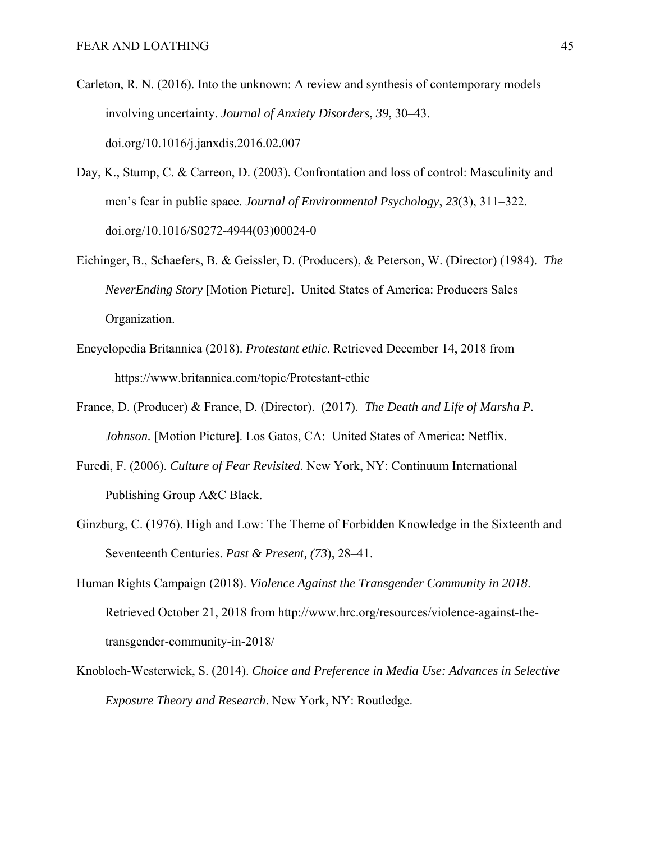- Carleton, R. N. (2016). Into the unknown: A review and synthesis of contemporary models involving uncertainty. *Journal of Anxiety Disorders*, *39*, 30–43. doi.org/10.1016/j.janxdis.2016.02.007
- Day, K., Stump, C. & Carreon, D. (2003). Confrontation and loss of control: Masculinity and men's fear in public space. *Journal of Environmental Psychology*, *23*(3), 311–322. doi.org/10.1016/S0272-4944(03)00024-0
- Eichinger, B., Schaefers, B. & Geissler, D. (Producers), & Peterson, W. (Director) (1984). *The NeverEnding Story* [Motion Picture]. United States of America: Producers Sales Organization.
- Encyclopedia Britannica (2018). *Protestant ethic*. Retrieved December 14, 2018 from https://www.britannica.com/topic/Protestant-ethic
- France, D. (Producer) & France, D. (Director). (2017). *The Death and Life of Marsha P. Johnson.* [Motion Picture]. Los Gatos, CA: United States of America: Netflix.
- Furedi, F. (2006). *Culture of Fear Revisited*. New York, NY: Continuum International Publishing Group A&C Black.
- Ginzburg, C. (1976). High and Low: The Theme of Forbidden Knowledge in the Sixteenth and Seventeenth Centuries. *Past & Present, (73*), 28–41.
- Human Rights Campaign (2018). *Violence Against the Transgender Community in 2018*. Retrieved October 21, 2018 from http://www.hrc.org/resources/violence-against-thetransgender-community-in-2018/
- Knobloch-Westerwick, S. (2014). *Choice and Preference in Media Use: Advances in Selective Exposure Theory and Research*. New York, NY: Routledge.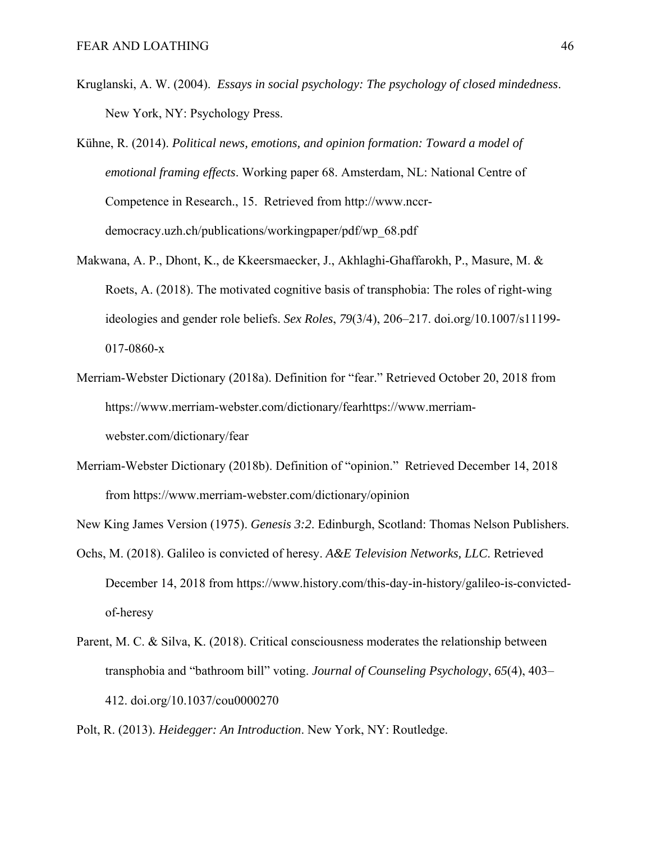- Kruglanski, A. W. (2004). *Essays in social psychology: The psychology of closed mindedness*. New York, NY: Psychology Press.
- Kühne, R. (2014). *Political news, emotions, and opinion formation: Toward a model of emotional framing effects*. Working paper 68. Amsterdam, NL: National Centre of Competence in Research., 15. Retrieved from http://www.nccrdemocracy.uzh.ch/publications/workingpaper/pdf/wp\_68.pdf
- Makwana, A. P., Dhont, K., de Kkeersmaecker, J., Akhlaghi-Ghaffarokh, P., Masure, M. & Roets, A. (2018). The motivated cognitive basis of transphobia: The roles of right-wing ideologies and gender role beliefs. *Sex Roles*, *79*(3/4), 206–217. doi.org/10.1007/s11199- 017-0860-x
- Merriam-Webster Dictionary (2018a). Definition for "fear." Retrieved October 20, 2018 from https://www.merriam-webster.com/dictionary/fearhttps://www.merriamwebster.com/dictionary/fear
- Merriam-Webster Dictionary (2018b). Definition of "opinion." Retrieved December 14, 2018 from https://www.merriam-webster.com/dictionary/opinion

New King James Version (1975). *Genesis 3:2*. Edinburgh, Scotland: Thomas Nelson Publishers.

- Ochs, M. (2018). Galileo is convicted of heresy. *A&E Television Networks, LLC*. Retrieved December 14, 2018 from https://www.history.com/this-day-in-history/galileo-is-convictedof-heresy
- Parent, M. C. & Silva, K. (2018). Critical consciousness moderates the relationship between transphobia and "bathroom bill" voting. *Journal of Counseling Psychology*, *65*(4), 403– 412. doi.org/10.1037/cou0000270

Polt, R. (2013). *Heidegger: An Introduction*. New York, NY: Routledge.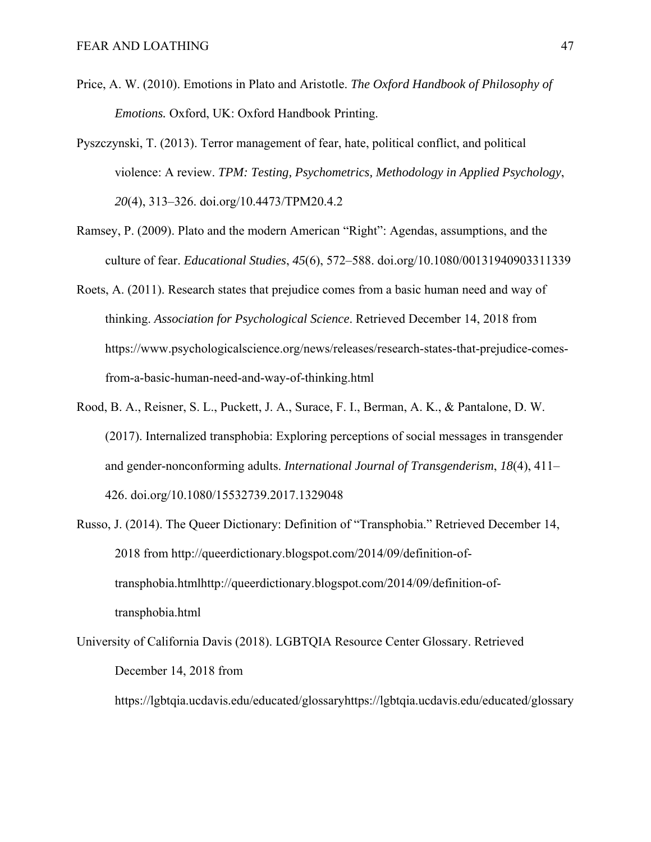- Price, A. W. (2010). Emotions in Plato and Aristotle. *The Oxford Handbook of Philosophy of Emotions.* Oxford, UK: Oxford Handbook Printing.
- Pyszczynski, T. (2013). Terror management of fear, hate, political conflict, and political violence: A review. *TPM: Testing, Psychometrics, Methodology in Applied Psychology*, *20*(4), 313–326. doi.org/10.4473/TPM20.4.2
- Ramsey, P. (2009). Plato and the modern American "Right": Agendas, assumptions, and the culture of fear. *Educational Studies*, *45*(6), 572–588. doi.org/10.1080/00131940903311339
- Roets, A. (2011). Research states that prejudice comes from a basic human need and way of thinking. *Association for Psychological Science*. Retrieved December 14, 2018 from https://www.psychologicalscience.org/news/releases/research-states-that-prejudice-comesfrom-a-basic-human-need-and-way-of-thinking.html
- Rood, B. A., Reisner, S. L., Puckett, J. A., Surace, F. I., Berman, A. K., & Pantalone, D. W. (2017). Internalized transphobia: Exploring perceptions of social messages in transgender and gender-nonconforming adults. *International Journal of Transgenderism*, *18*(4), 411– 426. doi.org/10.1080/15532739.2017.1329048
- Russo, J. (2014). The Queer Dictionary: Definition of "Transphobia." Retrieved December 14, 2018 from http://queerdictionary.blogspot.com/2014/09/definition-oftransphobia.htmlhttp://queerdictionary.blogspot.com/2014/09/definition-oftransphobia.html
- University of California Davis (2018). LGBTQIA Resource Center Glossary. Retrieved December 14, 2018 from

https://lgbtqia.ucdavis.edu/educated/glossaryhttps://lgbtqia.ucdavis.edu/educated/glossary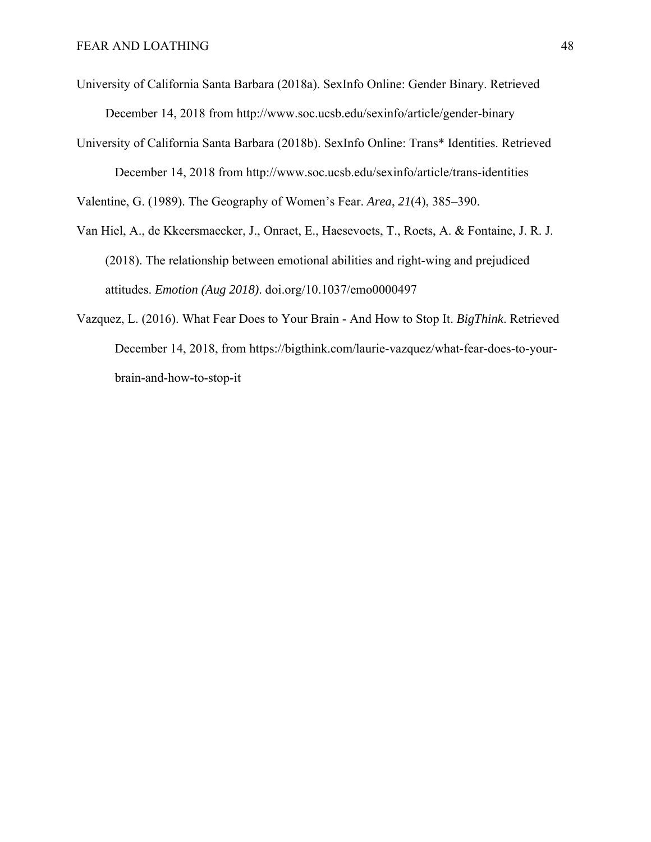- University of California Santa Barbara (2018a). SexInfo Online: Gender Binary. Retrieved December 14, 2018 from http://www.soc.ucsb.edu/sexinfo/article/gender-binary
- University of California Santa Barbara (2018b). SexInfo Online: Trans\* Identities. Retrieved December 14, 2018 from http://www.soc.ucsb.edu/sexinfo/article/trans-identities

Valentine, G. (1989). The Geography of Women's Fear. *Area*, *21*(4), 385–390.

- Van Hiel, A., de Kkeersmaecker, J., Onraet, E., Haesevoets, T., Roets, A. & Fontaine, J. R. J. (2018). The relationship between emotional abilities and right-wing and prejudiced attitudes. *Emotion (Aug 2018)*. doi.org/10.1037/emo0000497
- Vazquez, L. (2016). What Fear Does to Your Brain And How to Stop It. *BigThink*. Retrieved December 14, 2018, from https://bigthink.com/laurie-vazquez/what-fear-does-to-yourbrain-and-how-to-stop-it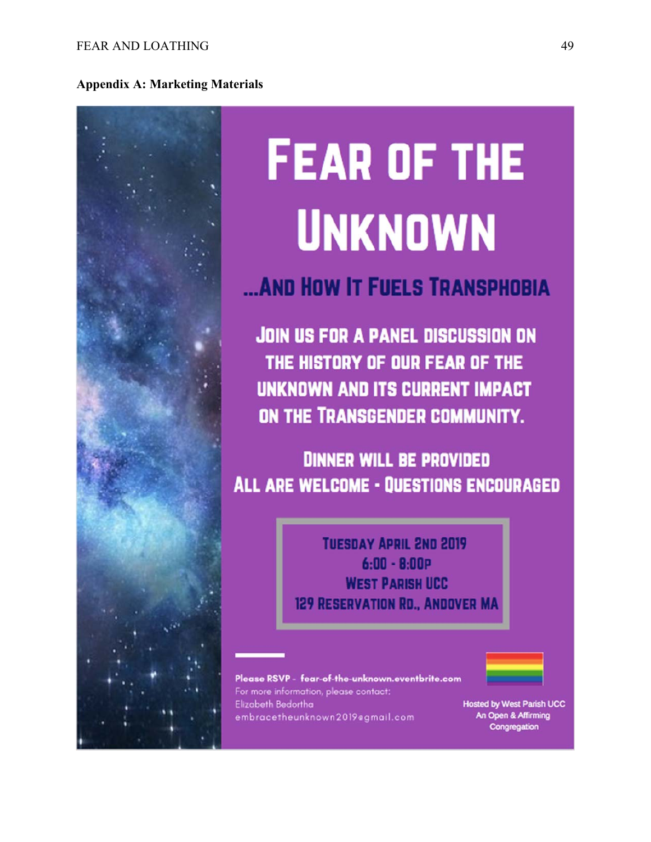

# **FEAR OF THE UNKNOWN**

# ... AND HOW IT FUELS TRANSPHOBIA

**JOIN US FOR A PANEL DISCUSSION ON** THE HISTORY OF OUR FEAR OF THE UNKNOWN AND ITS CURRENT IMPACT ON THE TRANSGENDER COMMUNITY.

**DINNER WILL BE PROVIDED ALL ARE WELCOME - OUESTIONS ENCOURAGED** 

> **TUESDAY APRIL 2ND 2019**  $6:00 - 8:00P$ **WEST PARISH UCC** 129 RESERVATION RD., ANDOVER MA

Please RSVP - fear-of-the-unknown.eventbrite.com For more information, please contact: Elizabeth Bedortha embracetheunknown2019@gmail.com

**Hosted by West Parish UCC** An Open & Affirming Congregation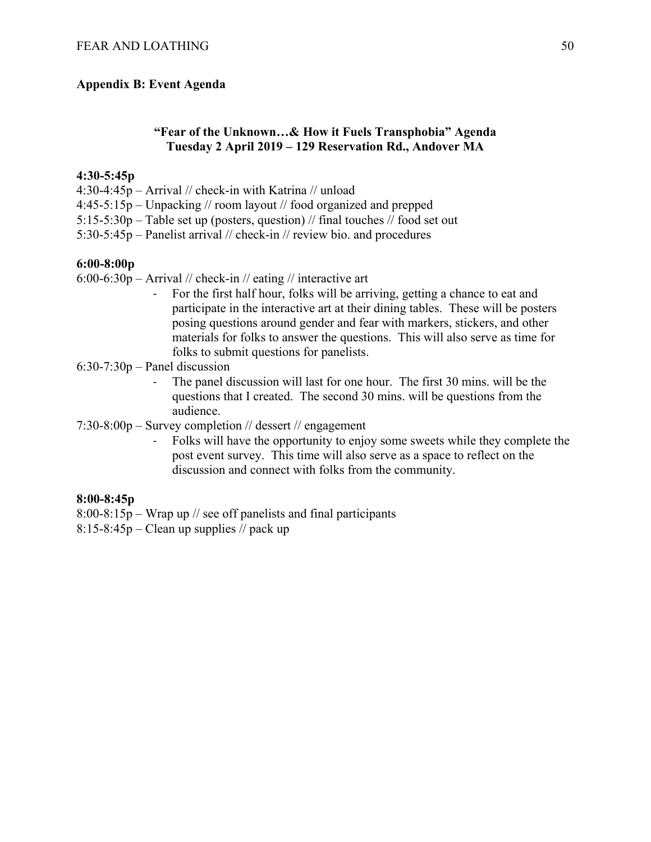#### **Appendix B: Event Agenda**

#### **"Fear of the Unknown…& How it Fuels Transphobia" Agenda Tuesday 2 April 2019 – 129 Reservation Rd., Andover MA**

#### **4:30-5:45p**

- 4:30-4:45p Arrival // check-in with Katrina // unload
- 4:45-5:15p Unpacking // room layout // food organized and prepped
- 5:15-5:30p Table set up (posters, question) // final touches // food set out
- 5:30-5:45p Panelist arrival // check-in // review bio. and procedures

#### **6:00-8:00p**

- 6:00-6:30p Arrival // check-in // eating // interactive art
	- ‐ For the first half hour, folks will be arriving, getting a chance to eat and participate in the interactive art at their dining tables. These will be posters posing questions around gender and fear with markers, stickers, and other materials for folks to answer the questions. This will also serve as time for folks to submit questions for panelists.
- 6:30-7:30p Panel discussion
	- The panel discussion will last for one hour. The first 30 mins. will be the questions that I created. The second 30 mins. will be questions from the audience.
- 7:30-8:00p Survey completion // dessert // engagement
	- ‐ Folks will have the opportunity to enjoy some sweets while they complete the post event survey. This time will also serve as a space to reflect on the discussion and connect with folks from the community.

#### **8:00-8:45p**

- 8:00-8:15p Wrap up // see off panelists and final participants
- $8:15-8:45p$  Clean up supplies // pack up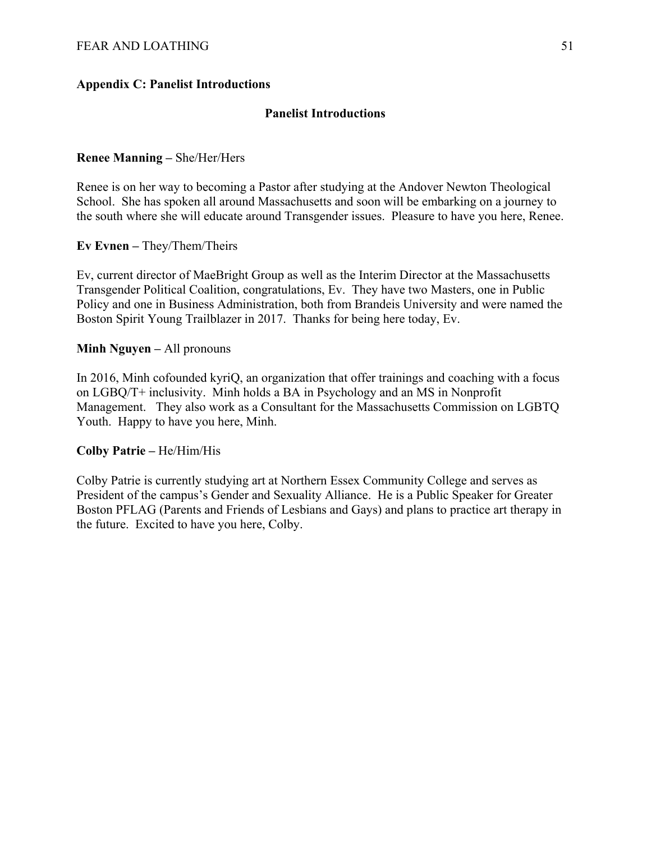## **Appendix C: Panelist Introductions**

#### **Panelist Introductions**

#### **Renee Manning –** She/Her/Hers

Renee is on her way to becoming a Pastor after studying at the Andover Newton Theological School. She has spoken all around Massachusetts and soon will be embarking on a journey to the south where she will educate around Transgender issues. Pleasure to have you here, Renee.

**Ev Evnen –** They/Them/Theirs

Ev, current director of MaeBright Group as well as the Interim Director at the Massachusetts Transgender Political Coalition, congratulations, Ev. They have two Masters, one in Public Policy and one in Business Administration, both from Brandeis University and were named the Boston Spirit Young Trailblazer in 2017. Thanks for being here today, Ev.

#### **Minh Nguyen –** All pronouns

In 2016, Minh cofounded kyriQ, an organization that offer trainings and coaching with a focus on LGBQ/T+ inclusivity. Minh holds a BA in Psychology and an MS in Nonprofit Management. They also work as a Consultant for the Massachusetts Commission on LGBTQ Youth. Happy to have you here, Minh.

#### **Colby Patrie –** He/Him/His

Colby Patrie is currently studying art at Northern Essex Community College and serves as President of the campus's Gender and Sexuality Alliance. He is a Public Speaker for Greater Boston PFLAG (Parents and Friends of Lesbians and Gays) and plans to practice art therapy in the future. Excited to have you here, Colby.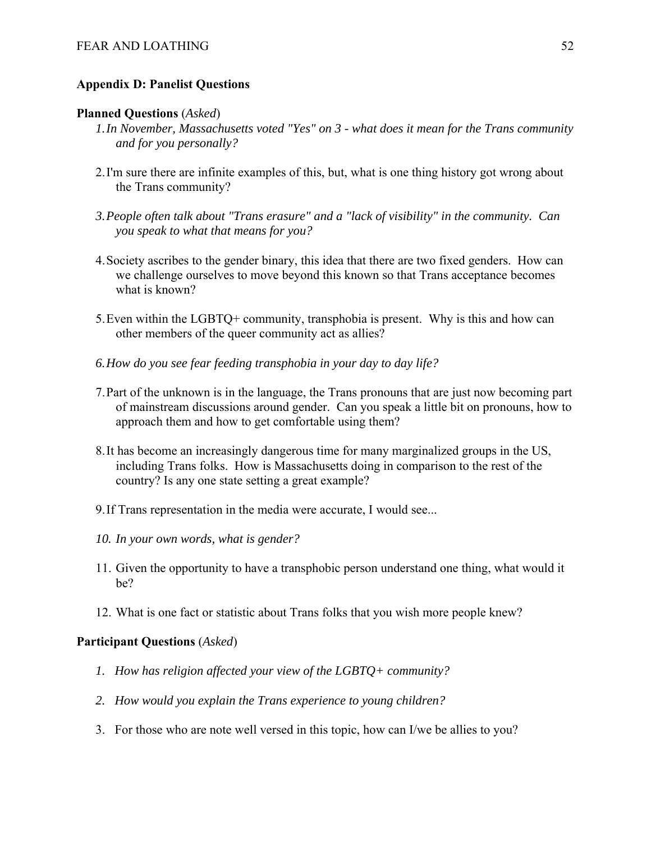#### **Appendix D: Panelist Questions**

#### **Planned Questions** (*Asked*)

- *1.In November, Massachusetts voted "Yes" on 3 what does it mean for the Trans community and for you personally?*
- 2.I'm sure there are infinite examples of this, but, what is one thing history got wrong about the Trans community?
- *3.People often talk about "Trans erasure" and a "lack of visibility" in the community. Can you speak to what that means for you?*
- 4.Society ascribes to the gender binary, this idea that there are two fixed genders. How can we challenge ourselves to move beyond this known so that Trans acceptance becomes what is known?
- 5.Even within the LGBTQ+ community, transphobia is present. Why is this and how can other members of the queer community act as allies?
- *6.How do you see fear feeding transphobia in your day to day life?*
- 7.Part of the unknown is in the language, the Trans pronouns that are just now becoming part of mainstream discussions around gender. Can you speak a little bit on pronouns, how to approach them and how to get comfortable using them?
- 8.It has become an increasingly dangerous time for many marginalized groups in the US, including Trans folks. How is Massachusetts doing in comparison to the rest of the country? Is any one state setting a great example?
- 9.If Trans representation in the media were accurate, I would see...
- *10. In your own words, what is gender?*
- 11. Given the opportunity to have a transphobic person understand one thing, what would it be?
- 12. What is one fact or statistic about Trans folks that you wish more people knew?

#### **Participant Questions** (*Asked*)

- *1. How has religion affected your view of the LGBTQ+ community?*
- *2. How would you explain the Trans experience to young children?*
- 3. For those who are note well versed in this topic, how can I/we be allies to you?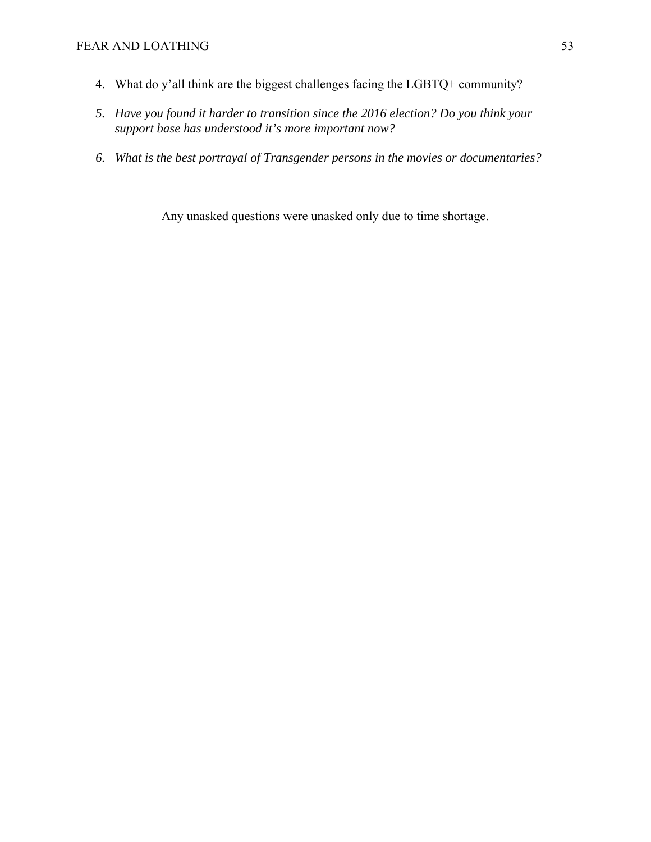- 4. What do y'all think are the biggest challenges facing the LGBTQ+ community?
- *5. Have you found it harder to transition since the 2016 election? Do you think your support base has understood it's more important now?*
- *6. What is the best portrayal of Transgender persons in the movies or documentaries?*

Any unasked questions were unasked only due to time shortage.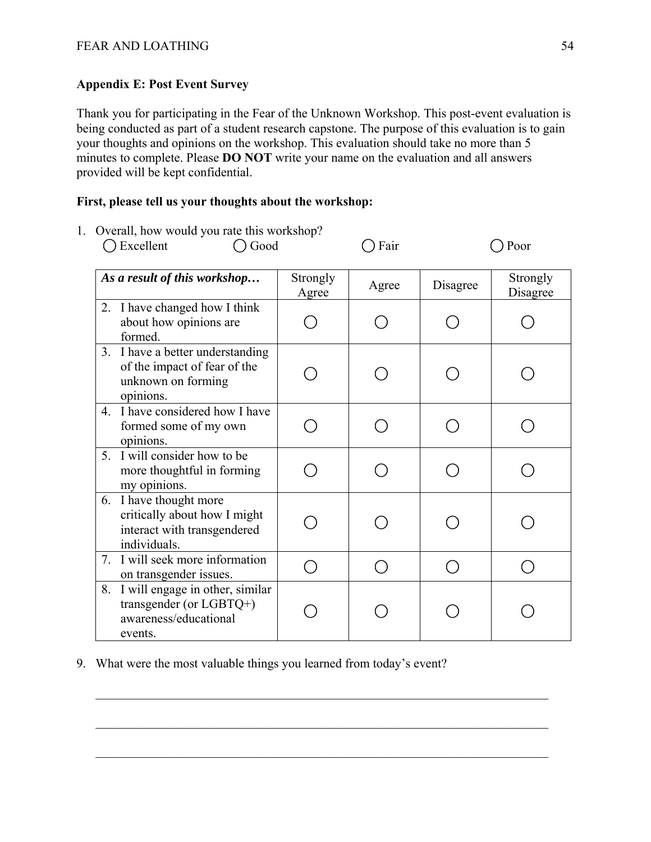# **Appendix E: Post Event Survey**

Thank you for participating in the Fear of the Unknown Workshop. This post-event evaluation is being conducted as part of a student research capstone. The purpose of this evaluation is to gain your thoughts and opinions on the workshop. This evaluation should take no more than 5 minutes to complete. Please **DO NOT** write your name on the evaluation and all answers provided will be kept confidential.

## **First, please tell us your thoughts about the workshop:**

1. Overall, how would you rate this workshop?

◯ Excellent ◯ Good ◯ Fair ◯ Poor

|    | As a result of this workshop                                                                        | Strongly<br>Agree | Agree | Disagree | Strongly<br>Disagree |
|----|-----------------------------------------------------------------------------------------------------|-------------------|-------|----------|----------------------|
| 2. | I have changed how I think<br>about how opinions are<br>formed.                                     |                   |       |          |                      |
|    | 3. I have a better understanding<br>of the impact of fear of the<br>unknown on forming<br>opinions. |                   |       |          |                      |
| 4. | I have considered how I have<br>formed some of my own<br>opinions.                                  |                   |       |          |                      |
| 5. | I will consider how to be<br>more thoughtful in forming<br>my opinions.                             |                   |       |          |                      |
| 6. | I have thought more<br>critically about how I might<br>interact with transgendered<br>individuals.  |                   |       |          |                      |
| 7. | I will seek more information<br>on transgender issues.                                              |                   |       |          |                      |
| 8. | I will engage in other, similar<br>transgender (or $LGBTQ+$ )<br>awareness/educational<br>events.   |                   |       |          |                      |

9. What were the most valuable things you learned from today's event?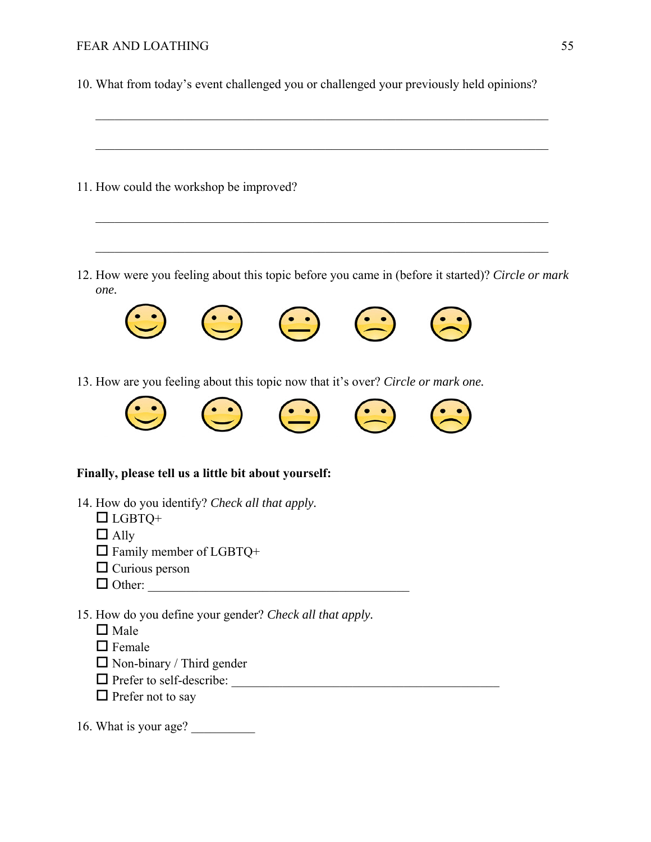- 10. What from today's event challenged you or challenged your previously held opinions?
- 11. How could the workshop be improved? 12. How were you feeling about this topic before you came in (before it started)? *Circle or mark one.*  13. How are you feeling about this topic now that it's over? *Circle or mark one.* **Finally, please tell us a little bit about yourself:**  14. How do you identify? *Check all that apply.*  $\Box$  LGBTQ+  $\Box$  Ally  $\Box$  Family member of LGBTO+  $\Box$  Curious person Other: \_\_\_\_\_\_\_\_\_\_\_\_\_\_\_\_\_\_\_\_\_\_\_\_\_\_\_\_\_\_\_\_\_\_\_\_\_\_\_\_\_ 15. How do you define your gender? *Check all that apply.*  $\Box$  Male  $\Box$  Female  $\Box$  Non-binary / Third gender Prefer to self-describe: \_\_\_\_\_\_\_\_\_\_\_\_\_\_\_\_\_\_\_\_\_\_\_\_\_\_\_\_\_\_\_\_\_\_\_\_\_\_\_\_\_\_  $\Box$  Prefer not to say 16. What is your age?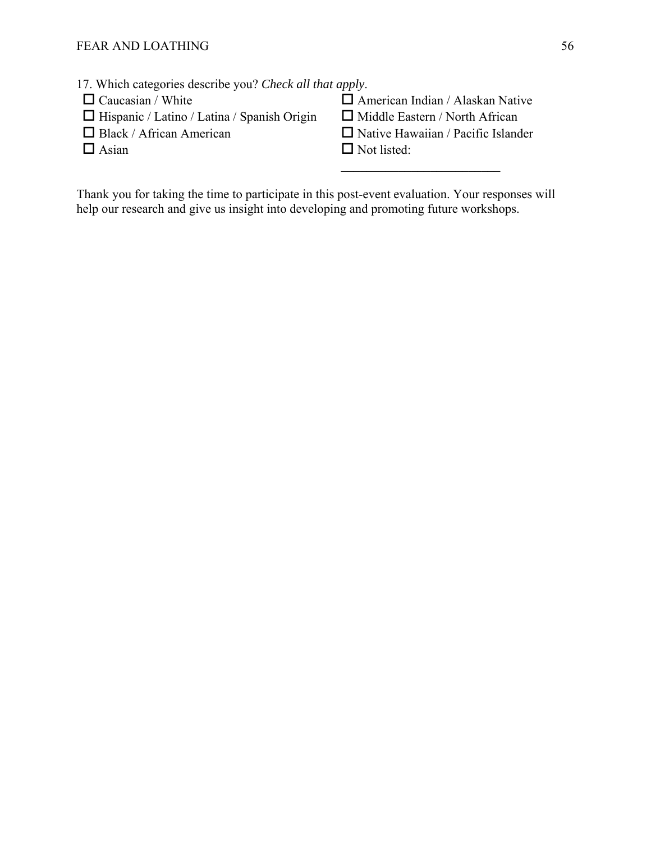| $\Box$ Caucasian / White                           | $\Box$ American Indian / Alaskan Native   |
|----------------------------------------------------|-------------------------------------------|
| $\Box$ Hispanic / Latino / Latina / Spanish Origin | $\Box$ Middle Eastern / North African     |
| $\Box$ Black / African American                    | $\Box$ Native Hawaiian / Pacific Islander |
| $\Box$ Asian                                       | $\Box$ Not listed:                        |
|                                                    |                                           |

Thank you for taking the time to participate in this post-event evaluation. Your responses will help our research and give us insight into developing and promoting future workshops.